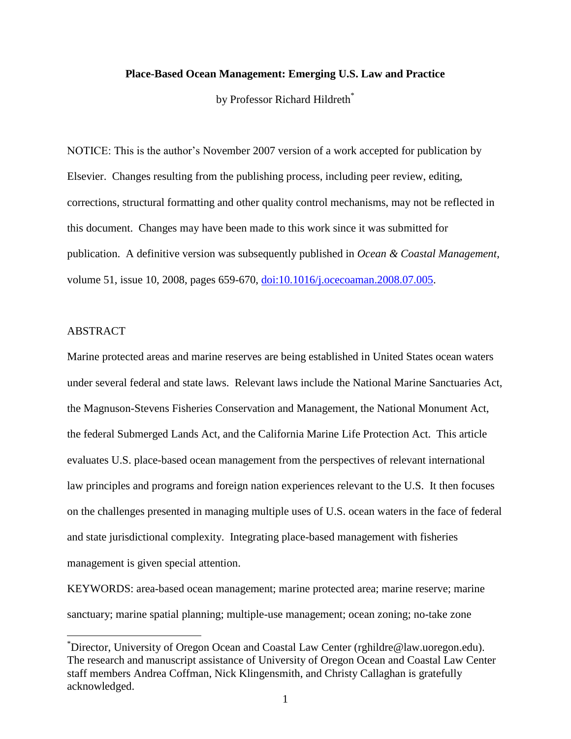# **Place-Based Ocean Management: Emerging U.S. Law and Practice**

by Professor Richard Hildreth<sup>\*</sup>

NOTICE: This is the author's November 2007 version of a work accepted for publication by Elsevier. Changes resulting from the publishing process, including peer review, editing, corrections, structural formatting and other quality control mechanisms, may not be reflected in this document. Changes may have been made to this work since it was submitted for publication. A definitive version was subsequently published in *Ocean & Coastal Management*, volume 51, issue 10, 2008, pages 659-670, [doi:10.1016/j.ocecoaman.2008.07.005.](http://dx.doi.org/10.1016/j.ocecoaman.2008.07.005)

# ABSTRACT

 $\overline{a}$ 

Marine protected areas and marine reserves are being established in United States ocean waters under several federal and state laws. Relevant laws include the National Marine Sanctuaries Act, the Magnuson-Stevens Fisheries Conservation and Management, the National Monument Act, the federal Submerged Lands Act, and the California Marine Life Protection Act. This article evaluates U.S. place-based ocean management from the perspectives of relevant international law principles and programs and foreign nation experiences relevant to the U.S. It then focuses on the challenges presented in managing multiple uses of U.S. ocean waters in the face of federal and state jurisdictional complexity. Integrating place-based management with fisheries management is given special attention.

KEYWORDS: area-based ocean management; marine protected area; marine reserve; marine sanctuary; marine spatial planning; multiple-use management; ocean zoning; no-take zone

<sup>\*</sup>Director, University of Oregon Ocean and Coastal Law Center (rghildre@law.uoregon.edu). The research and manuscript assistance of University of Oregon Ocean and Coastal Law Center staff members Andrea Coffman, Nick Klingensmith, and Christy Callaghan is gratefully acknowledged.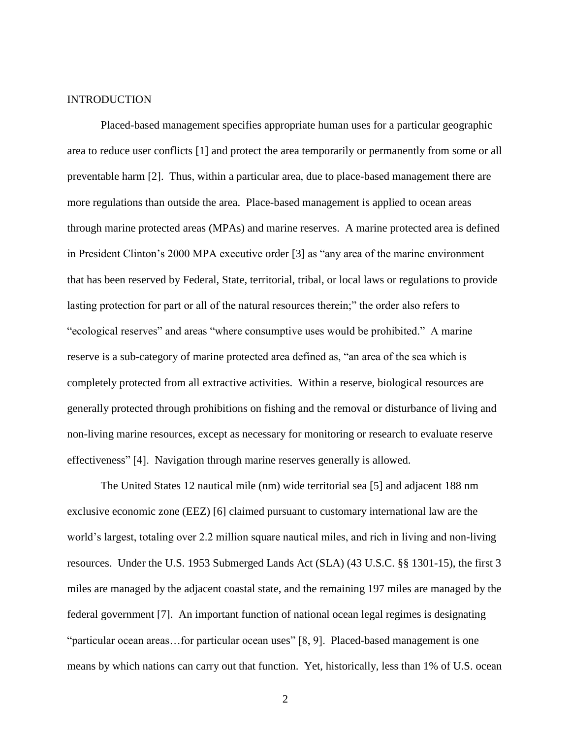#### INTRODUCTION

Placed-based management specifies appropriate human uses for a particular geographic area to reduce user conflicts [1] and protect the area temporarily or permanently from some or all preventable harm [2]. Thus, within a particular area, due to place-based management there are more regulations than outside the area. Place-based management is applied to ocean areas through marine protected areas (MPAs) and marine reserves. A marine protected area is defined in President Clinton's 2000 MPA executive order [3] as "any area of the marine environment that has been reserved by Federal, State, territorial, tribal, or local laws or regulations to provide lasting protection for part or all of the natural resources therein;" the order also refers to "ecological reserves" and areas "where consumptive uses would be prohibited." A marine reserve is a sub-category of marine protected area defined as, "an area of the sea which is completely protected from all extractive activities. Within a reserve, biological resources are generally protected through prohibitions on fishing and the removal or disturbance of living and non-living marine resources, except as necessary for monitoring or research to evaluate reserve effectiveness" [4]. Navigation through marine reserves generally is allowed.

The United States 12 nautical mile (nm) wide territorial sea [5] and adjacent 188 nm exclusive economic zone (EEZ) [6] claimed pursuant to customary international law are the world's largest, totaling over 2.2 million square nautical miles, and rich in living and non-living resources. Under the U.S. 1953 Submerged Lands Act (SLA) (43 U.S.C. §§ 1301-15), the first 3 miles are managed by the adjacent coastal state, and the remaining 197 miles are managed by the federal government [7]. An important function of national ocean legal regimes is designating "particular ocean areas...for particular ocean uses" [8, 9]. Placed-based management is one means by which nations can carry out that function. Yet, historically, less than 1% of U.S. ocean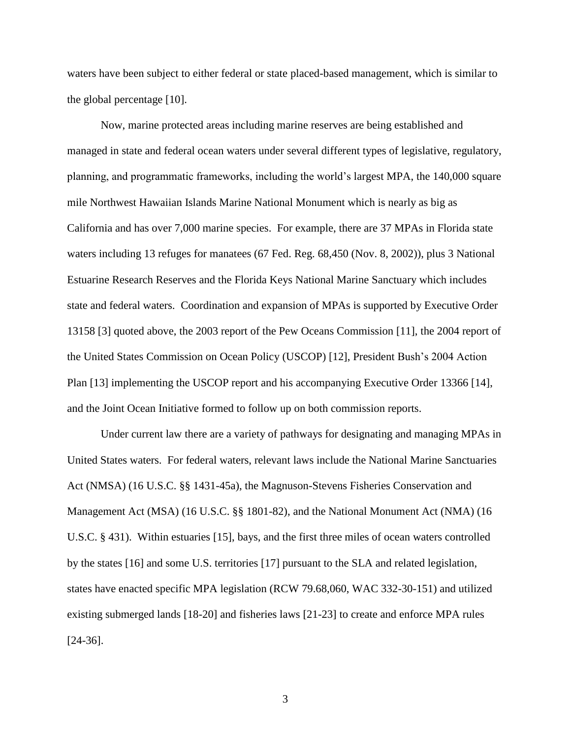waters have been subject to either federal or state placed-based management, which is similar to the global percentage [10].

Now, marine protected areas including marine reserves are being established and managed in state and federal ocean waters under several different types of legislative, regulatory, planning, and programmatic frameworks, including the world's largest MPA, the 140,000 square mile Northwest Hawaiian Islands Marine National Monument which is nearly as big as California and has over 7,000 marine species. For example, there are 37 MPAs in Florida state waters including 13 refuges for manatees (67 Fed. Reg. 68,450 (Nov. 8, 2002)), plus 3 National Estuarine Research Reserves and the Florida Keys National Marine Sanctuary which includes state and federal waters. Coordination and expansion of MPAs is supported by Executive Order 13158 [3] quoted above, the 2003 report of the Pew Oceans Commission [11], the 2004 report of the United States Commission on Ocean Policy (USCOP) [12], President Bush's 2004 Action Plan [13] implementing the USCOP report and his accompanying Executive Order 13366 [14], and the Joint Ocean Initiative formed to follow up on both commission reports.

Under current law there are a variety of pathways for designating and managing MPAs in United States waters. For federal waters, relevant laws include the National Marine Sanctuaries Act (NMSA) (16 U.S.C. §§ 1431-45a), the Magnuson-Stevens Fisheries Conservation and Management Act (MSA) (16 U.S.C. §§ 1801-82), and the National Monument Act (NMA) (16 U.S.C. § 431). Within estuaries [15], bays, and the first three miles of ocean waters controlled by the states [16] and some U.S. territories [17] pursuant to the SLA and related legislation, states have enacted specific MPA legislation (RCW 79.68,060, WAC 332-30-151) and utilized existing submerged lands [18-20] and fisheries laws [21-23] to create and enforce MPA rules [24-36].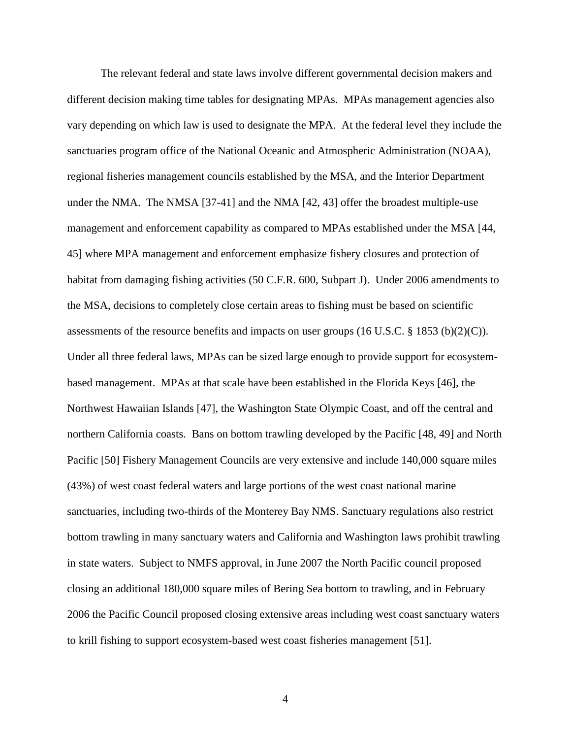The relevant federal and state laws involve different governmental decision makers and different decision making time tables for designating MPAs. MPAs management agencies also vary depending on which law is used to designate the MPA. At the federal level they include the sanctuaries program office of the National Oceanic and Atmospheric Administration (NOAA), regional fisheries management councils established by the MSA, and the Interior Department under the NMA. The NMSA [37-41] and the NMA [42, 43] offer the broadest multiple-use management and enforcement capability as compared to MPAs established under the MSA [44, 45] where MPA management and enforcement emphasize fishery closures and protection of habitat from damaging fishing activities (50 C.F.R. 600, Subpart J). Under 2006 amendments to the MSA, decisions to completely close certain areas to fishing must be based on scientific assessments of the resource benefits and impacts on user groups (16 U.S.C. § 1853 (b)(2)(C)). Under all three federal laws, MPAs can be sized large enough to provide support for ecosystembased management. MPAs at that scale have been established in the Florida Keys [46], the Northwest Hawaiian Islands [47], the Washington State Olympic Coast, and off the central and northern California coasts. Bans on bottom trawling developed by the Pacific [48, 49] and North Pacific [50] Fishery Management Councils are very extensive and include 140,000 square miles (43%) of west coast federal waters and large portions of the west coast national marine sanctuaries, including two-thirds of the Monterey Bay NMS. Sanctuary regulations also restrict bottom trawling in many sanctuary waters and California and Washington laws prohibit trawling in state waters. Subject to NMFS approval, in June 2007 the North Pacific council proposed closing an additional 180,000 square miles of Bering Sea bottom to trawling, and in February 2006 the Pacific Council proposed closing extensive areas including west coast sanctuary waters to krill fishing to support ecosystem-based west coast fisheries management [51].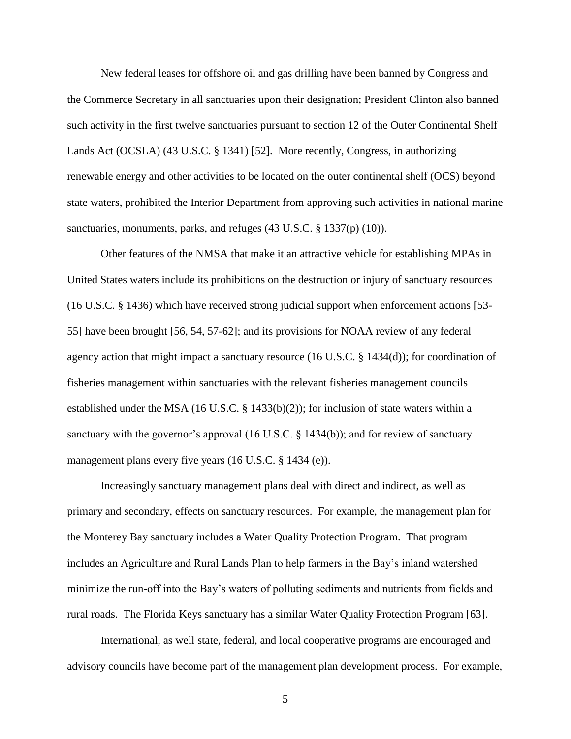New federal leases for offshore oil and gas drilling have been banned by Congress and the Commerce Secretary in all sanctuaries upon their designation; President Clinton also banned such activity in the first twelve sanctuaries pursuant to section 12 of the Outer Continental Shelf Lands Act (OCSLA) (43 U.S.C. § 1341) [52]. More recently, Congress, in authorizing renewable energy and other activities to be located on the outer continental shelf (OCS) beyond state waters, prohibited the Interior Department from approving such activities in national marine sanctuaries, monuments, parks, and refuges (43 U.S.C. § 1337(p) (10)).

Other features of the NMSA that make it an attractive vehicle for establishing MPAs in United States waters include its prohibitions on the destruction or injury of sanctuary resources (16 U.S.C. § 1436) which have received strong judicial support when enforcement actions [53- 55] have been brought [56, 54, 57-62]; and its provisions for NOAA review of any federal agency action that might impact a sanctuary resource (16 U.S.C. § 1434(d)); for coordination of fisheries management within sanctuaries with the relevant fisheries management councils established under the MSA (16 U.S.C. § 1433(b)(2)); for inclusion of state waters within a sanctuary with the governor's approval (16 U.S.C. § 1434(b)); and for review of sanctuary management plans every five years (16 U.S.C. § 1434 (e)).

Increasingly sanctuary management plans deal with direct and indirect, as well as primary and secondary, effects on sanctuary resources. For example, the management plan for the Monterey Bay sanctuary includes a Water Quality Protection Program. That program includes an Agriculture and Rural Lands Plan to help farmers in the Bay's inland watershed minimize the run-off into the Bay's waters of polluting sediments and nutrients from fields and rural roads. The Florida Keys sanctuary has a similar Water Quality Protection Program [63].

International, as well state, federal, and local cooperative programs are encouraged and advisory councils have become part of the management plan development process. For example,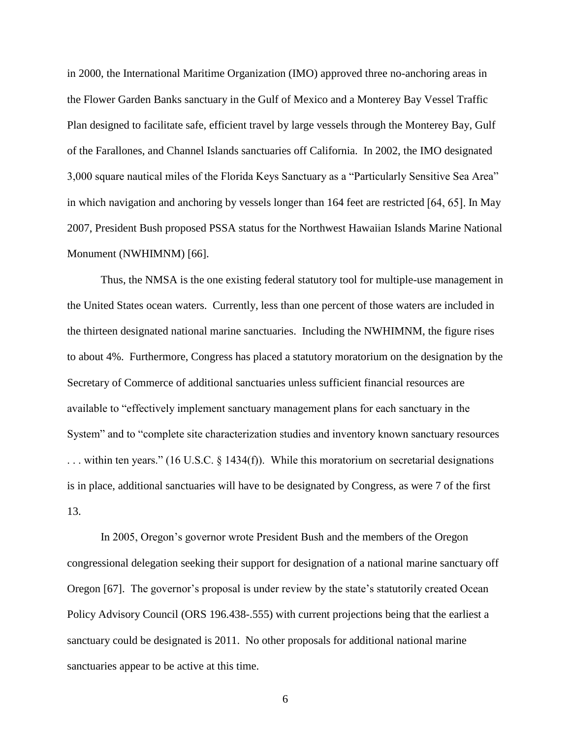in 2000, the International Maritime Organization (IMO) approved three no-anchoring areas in the Flower Garden Banks sanctuary in the Gulf of Mexico and a Monterey Bay Vessel Traffic Plan designed to facilitate safe, efficient travel by large vessels through the Monterey Bay, Gulf of the Farallones, and Channel Islands sanctuaries off California. In 2002, the IMO designated 3,000 square nautical miles of the Florida Keys Sanctuary as a "Particularly Sensitive Sea Area" in which navigation and anchoring by vessels longer than  $164$  feet are restricted  $[64, 65]$ . In May 2007, President Bush proposed PSSA status for the Northwest Hawaiian Islands Marine National Monument (NWHIMNM) [66].

Thus, the NMSA is the one existing federal statutory tool for multiple-use management in the United States ocean waters. Currently, less than one percent of those waters are included in the thirteen designated national marine sanctuaries. Including the NWHIMNM, the figure rises to about 4%. Furthermore, Congress has placed a statutory moratorium on the designation by the Secretary of Commerce of additional sanctuaries unless sufficient financial resources are available to "effectively implement sanctuary management plans for each sanctuary in the System" and to "complete site characterization studies and inventory known sanctuary resources ... within ten years." (16 U.S.C.  $\S$  1434(f)). While this moratorium on secretarial designations is in place, additional sanctuaries will have to be designated by Congress, as were 7 of the first 13.

In 2005, Oregon's governor wrote President Bush and the members of the Oregon congressional delegation seeking their support for designation of a national marine sanctuary off Oregon [67]. The governor's proposal is under review by the state's statutorily created Ocean Policy Advisory Council (ORS 196.438-.555) with current projections being that the earliest a sanctuary could be designated is 2011. No other proposals for additional national marine sanctuaries appear to be active at this time.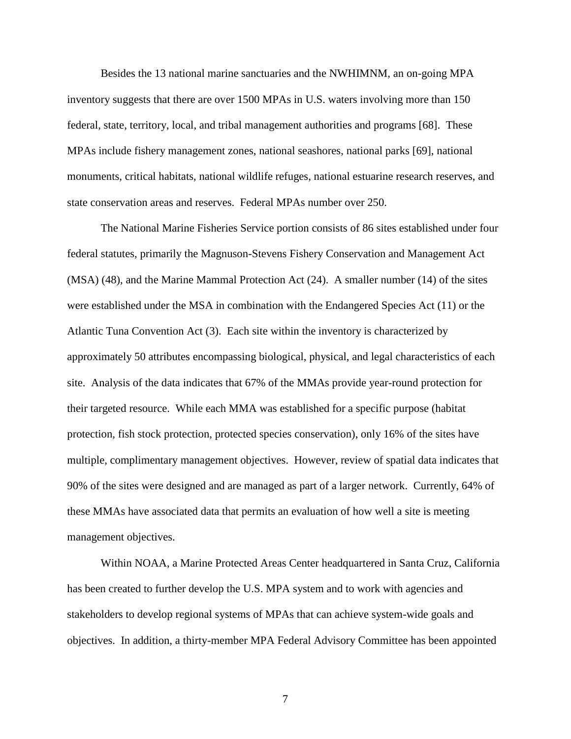Besides the 13 national marine sanctuaries and the NWHIMNM, an on-going MPA inventory suggests that there are over 1500 MPAs in U.S. waters involving more than 150 federal, state, territory, local, and tribal management authorities and programs [68]. These MPAs include fishery management zones, national seashores, national parks [69], national monuments, critical habitats, national wildlife refuges, national estuarine research reserves, and state conservation areas and reserves. Federal MPAs number over 250.

The National Marine Fisheries Service portion consists of 86 sites established under four federal statutes, primarily the Magnuson-Stevens Fishery Conservation and Management Act (MSA) (48), and the Marine Mammal Protection Act (24). A smaller number (14) of the sites were established under the MSA in combination with the Endangered Species Act (11) or the Atlantic Tuna Convention Act (3). Each site within the inventory is characterized by approximately 50 attributes encompassing biological, physical, and legal characteristics of each site. Analysis of the data indicates that 67% of the MMAs provide year-round protection for their targeted resource. While each MMA was established for a specific purpose (habitat protection, fish stock protection, protected species conservation), only 16% of the sites have multiple, complimentary management objectives. However, review of spatial data indicates that 90% of the sites were designed and are managed as part of a larger network. Currently, 64% of these MMAs have associated data that permits an evaluation of how well a site is meeting management objectives.

Within NOAA, a Marine Protected Areas Center headquartered in Santa Cruz, California has been created to further develop the U.S. MPA system and to work with agencies and stakeholders to develop regional systems of MPAs that can achieve system-wide goals and objectives. In addition, a thirty-member MPA Federal Advisory Committee has been appointed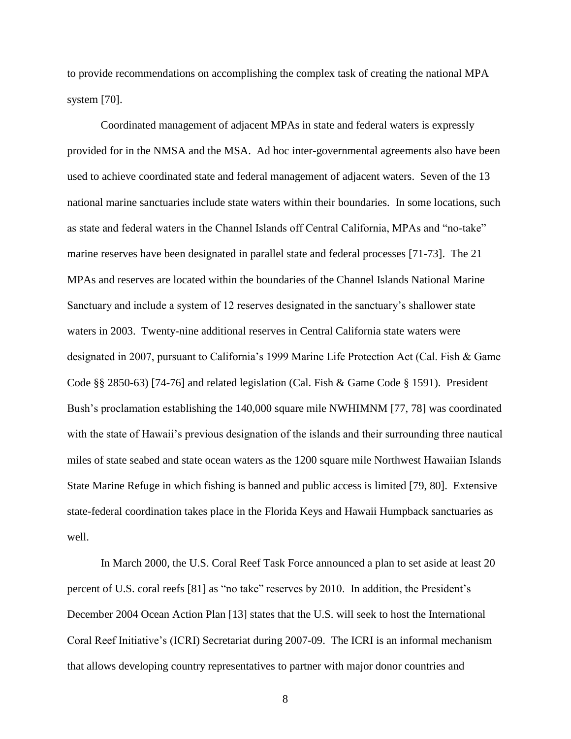to provide recommendations on accomplishing the complex task of creating the national MPA system [70].

Coordinated management of adjacent MPAs in state and federal waters is expressly provided for in the NMSA and the MSA. Ad hoc inter-governmental agreements also have been used to achieve coordinated state and federal management of adjacent waters. Seven of the 13 national marine sanctuaries include state waters within their boundaries. In some locations, such as state and federal waters in the Channel Islands off Central California, MPAs and "no-take" marine reserves have been designated in parallel state and federal processes [71-73]. The 21 MPAs and reserves are located within the boundaries of the Channel Islands National Marine Sanctuary and include a system of 12 reserves designated in the sanctuary's shallower state waters in 2003. Twenty-nine additional reserves in Central California state waters were designated in 2007, pursuant to California's 1999 Marine Life Protection Act (Cal. Fish & Game Code §§ 2850-63) [74-76] and related legislation (Cal. Fish & Game Code § 1591). President Bush's proclamation establishing the 140,000 square mile NWHIMNM [77, 78] was coordinated with the state of Hawaii's previous designation of the islands and their surrounding three nautical miles of state seabed and state ocean waters as the 1200 square mile Northwest Hawaiian Islands State Marine Refuge in which fishing is banned and public access is limited [79, 80]. Extensive state-federal coordination takes place in the Florida Keys and Hawaii Humpback sanctuaries as well.

In March 2000, the U.S. Coral Reef Task Force announced a plan to set aside at least 20 percent of U.S. coral reefs [81] as "no take" reserves by 2010. In addition, the President's December 2004 Ocean Action Plan [13] states that the U.S. will seek to host the International Coral Reef Initiative's (ICRI) Secretariat during 2007-09. The ICRI is an informal mechanism that allows developing country representatives to partner with major donor countries and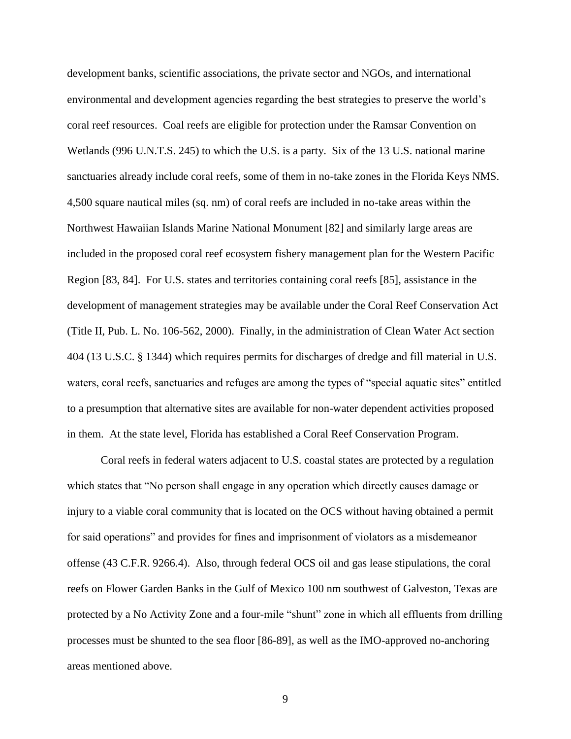development banks, scientific associations, the private sector and NGOs, and international environmental and development agencies regarding the best strategies to preserve the world's coral reef resources. Coal reefs are eligible for protection under the Ramsar Convention on Wetlands (996 U.N.T.S. 245) to which the U.S. is a party. Six of the 13 U.S. national marine sanctuaries already include coral reefs, some of them in no-take zones in the Florida Keys NMS. 4,500 square nautical miles (sq. nm) of coral reefs are included in no-take areas within the Northwest Hawaiian Islands Marine National Monument [82] and similarly large areas are included in the proposed coral reef ecosystem fishery management plan for the Western Pacific Region [83, 84]. For U.S. states and territories containing coral reefs [85], assistance in the development of management strategies may be available under the Coral Reef Conservation Act (Title II, Pub. L. No. 106-562, 2000). Finally, in the administration of Clean Water Act section 404 (13 U.S.C. § 1344) which requires permits for discharges of dredge and fill material in U.S. waters, coral reefs, sanctuaries and refuges are among the types of "special aquatic sites" entitled to a presumption that alternative sites are available for non-water dependent activities proposed in them. At the state level, Florida has established a Coral Reef Conservation Program.

Coral reefs in federal waters adjacent to U.S. coastal states are protected by a regulation which states that "No person shall engage in any operation which directly causes damage or injury to a viable coral community that is located on the OCS without having obtained a permit for said operations" and provides for fines and imprisonment of violators as a misdemeanor offense (43 C.F.R. 9266.4). Also, through federal OCS oil and gas lease stipulations, the coral reefs on Flower Garden Banks in the Gulf of Mexico 100 nm southwest of Galveston, Texas are protected by a No Activity Zone and a four-mile "shunt" zone in which all effluents from drilling processes must be shunted to the sea floor [86-89], as well as the IMO-approved no-anchoring areas mentioned above.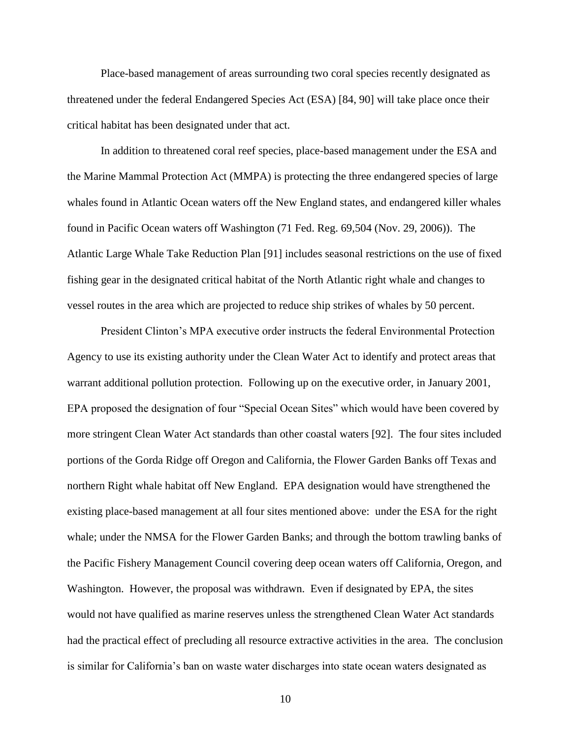Place-based management of areas surrounding two coral species recently designated as threatened under the federal Endangered Species Act (ESA) [84, 90] will take place once their critical habitat has been designated under that act.

In addition to threatened coral reef species, place-based management under the ESA and the Marine Mammal Protection Act (MMPA) is protecting the three endangered species of large whales found in Atlantic Ocean waters off the New England states, and endangered killer whales found in Pacific Ocean waters off Washington (71 Fed. Reg. 69,504 (Nov. 29, 2006)). The Atlantic Large Whale Take Reduction Plan [91] includes seasonal restrictions on the use of fixed fishing gear in the designated critical habitat of the North Atlantic right whale and changes to vessel routes in the area which are projected to reduce ship strikes of whales by 50 percent.

President Clinton's MPA executive order instructs the federal Environmental Protection Agency to use its existing authority under the Clean Water Act to identify and protect areas that warrant additional pollution protection. Following up on the executive order, in January 2001, EPA proposed the designation of four "Special Ocean Sites" which would have been covered by more stringent Clean Water Act standards than other coastal waters [92]. The four sites included portions of the Gorda Ridge off Oregon and California, the Flower Garden Banks off Texas and northern Right whale habitat off New England. EPA designation would have strengthened the existing place-based management at all four sites mentioned above: under the ESA for the right whale; under the NMSA for the Flower Garden Banks; and through the bottom trawling banks of the Pacific Fishery Management Council covering deep ocean waters off California, Oregon, and Washington. However, the proposal was withdrawn. Even if designated by EPA, the sites would not have qualified as marine reserves unless the strengthened Clean Water Act standards had the practical effect of precluding all resource extractive activities in the area. The conclusion is similar for California's ban on waste water discharges into state ocean waters designated as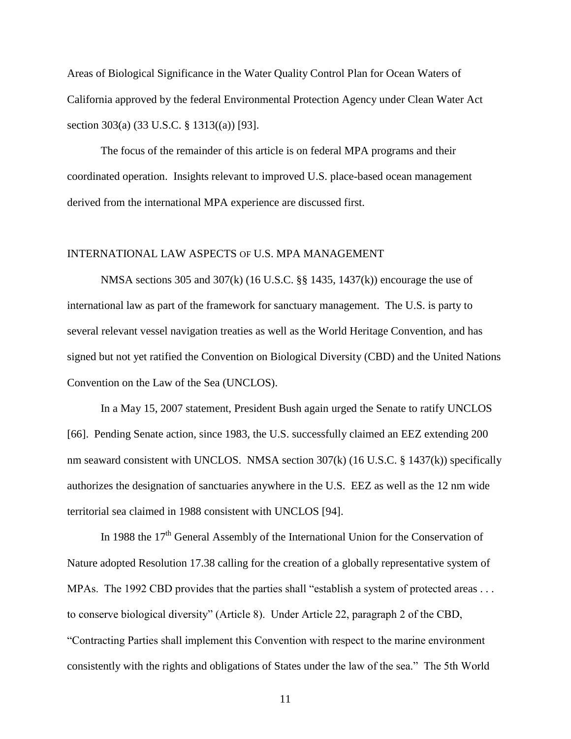Areas of Biological Significance in the Water Quality Control Plan for Ocean Waters of California approved by the federal Environmental Protection Agency under Clean Water Act section 303(a) (33 U.S.C. § 1313((a)) [93].

The focus of the remainder of this article is on federal MPA programs and their coordinated operation. Insights relevant to improved U.S. place-based ocean management derived from the international MPA experience are discussed first.

# INTERNATIONAL LAW ASPECTS OF U.S. MPA MANAGEMENT

NMSA sections 305 and 307(k) (16 U.S.C. §§ 1435, 1437(k)) encourage the use of international law as part of the framework for sanctuary management. The U.S. is party to several relevant vessel navigation treaties as well as the World Heritage Convention, and has signed but not yet ratified the Convention on Biological Diversity (CBD) and the United Nations Convention on the Law of the Sea (UNCLOS).

In a May 15, 2007 statement, President Bush again urged the Senate to ratify UNCLOS [66]. Pending Senate action, since 1983, the U.S. successfully claimed an EEZ extending 200 nm seaward consistent with UNCLOS. NMSA section 307(k) (16 U.S.C. § 1437(k)) specifically authorizes the designation of sanctuaries anywhere in the U.S. EEZ as well as the 12 nm wide territorial sea claimed in 1988 consistent with UNCLOS [94].

In 1988 the 17<sup>th</sup> General Assembly of the International Union for the Conservation of Nature adopted Resolution 17.38 calling for the creation of a globally representative system of MPAs. The 1992 CBD provides that the parties shall "establish a system of protected areas  $\dots$ to conserve biological diversity" (Article 8). Under Article 22, paragraph 2 of the CBD, ―Contracting Parties shall implement this Convention with respect to the marine environment consistently with the rights and obligations of States under the law of the sea." The 5th World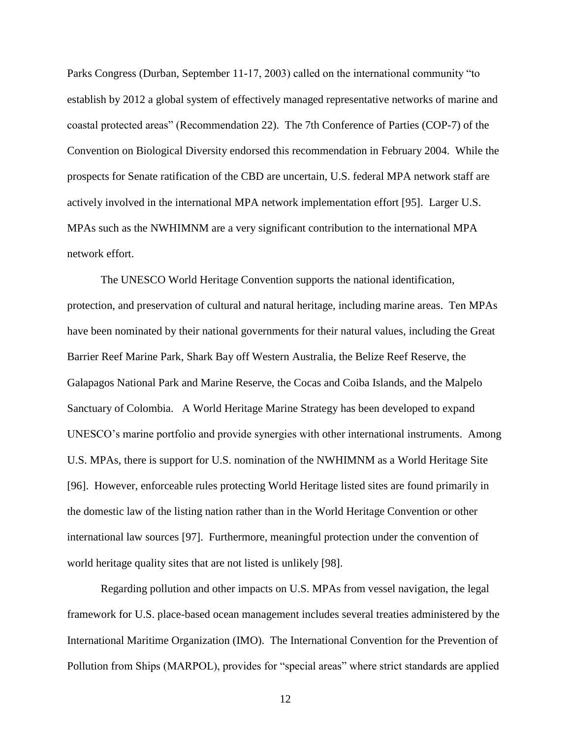Parks Congress (Durban, September 11-17, 2003) called on the international community "to establish by 2012 a global system of effectively managed representative networks of marine and coastal protected areas‖ (Recommendation 22). The 7th Conference of Parties (COP-7) of the Convention on Biological Diversity endorsed this recommendation in February 2004. While the prospects for Senate ratification of the CBD are uncertain, U.S. federal MPA network staff are actively involved in the international MPA network implementation effort [95]. Larger U.S. MPAs such as the NWHIMNM are a very significant contribution to the international MPA network effort.

The UNESCO World Heritage Convention supports the national identification, protection, and preservation of cultural and natural heritage, including marine areas. Ten MPAs have been nominated by their national governments for their natural values, including the Great Barrier Reef Marine Park, Shark Bay off Western Australia, the Belize Reef Reserve, the Galapagos National Park and Marine Reserve, the Cocas and Coiba Islands, and the Malpelo Sanctuary of Colombia. A World Heritage Marine Strategy has been developed to expand UNESCO's marine portfolio and provide synergies with other international instruments. Among U.S. MPAs, there is support for U.S. nomination of the NWHIMNM as a World Heritage Site [96]. However, enforceable rules protecting World Heritage listed sites are found primarily in the domestic law of the listing nation rather than in the World Heritage Convention or other international law sources [97]. Furthermore, meaningful protection under the convention of world heritage quality sites that are not listed is unlikely [98].

Regarding pollution and other impacts on U.S. MPAs from vessel navigation, the legal framework for U.S. place-based ocean management includes several treaties administered by the International Maritime Organization (IMO). The International Convention for the Prevention of Pollution from Ships (MARPOL), provides for "special areas" where strict standards are applied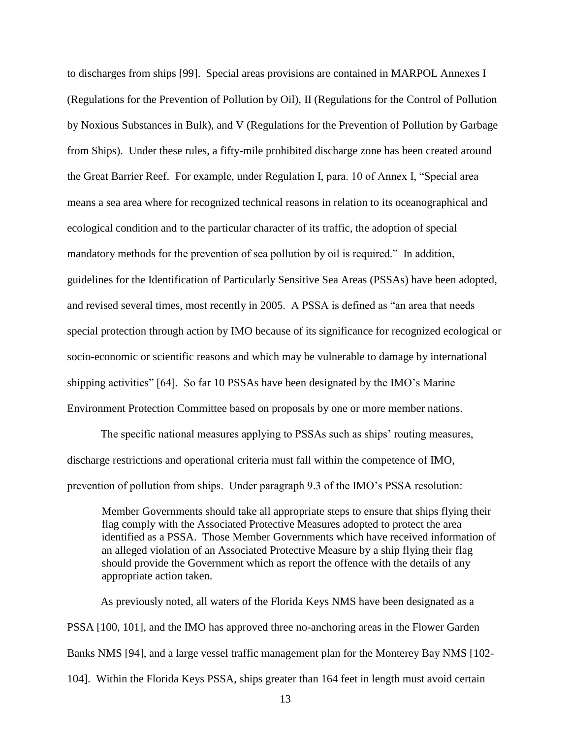to discharges from ships [99]. Special areas provisions are contained in MARPOL Annexes I (Regulations for the Prevention of Pollution by Oil), II (Regulations for the Control of Pollution by Noxious Substances in Bulk), and V (Regulations for the Prevention of Pollution by Garbage from Ships). Under these rules, a fifty-mile prohibited discharge zone has been created around the Great Barrier Reef. For example, under Regulation I, para. 10 of Annex I, "Special area means a sea area where for recognized technical reasons in relation to its oceanographical and ecological condition and to the particular character of its traffic, the adoption of special mandatory methods for the prevention of sea pollution by oil is required." In addition, guidelines for the Identification of Particularly Sensitive Sea Areas (PSSAs) have been adopted, and revised several times, most recently in 2005. A PSSA is defined as "an area that needs special protection through action by IMO because of its significance for recognized ecological or socio-economic or scientific reasons and which may be vulnerable to damage by international shipping activities" [64]. So far 10 PSSAs have been designated by the IMO's Marine Environment Protection Committee based on proposals by one or more member nations.

The specific national measures applying to PSSAs such as ships' routing measures, discharge restrictions and operational criteria must fall within the competence of IMO, prevention of pollution from ships. Under paragraph 9.3 of the IMO's PSSA resolution:

Member Governments should take all appropriate steps to ensure that ships flying their flag comply with the Associated Protective Measures adopted to protect the area identified as a PSSA. Those Member Governments which have received information of an alleged violation of an Associated Protective Measure by a ship flying their flag should provide the Government which as report the offence with the details of any appropriate action taken.

As previously noted, all waters of the Florida Keys NMS have been designated as a PSSA [100, 101], and the IMO has approved three no-anchoring areas in the Flower Garden Banks NMS [94], and a large vessel traffic management plan for the Monterey Bay NMS [102- 104]. Within the Florida Keys PSSA, ships greater than 164 feet in length must avoid certain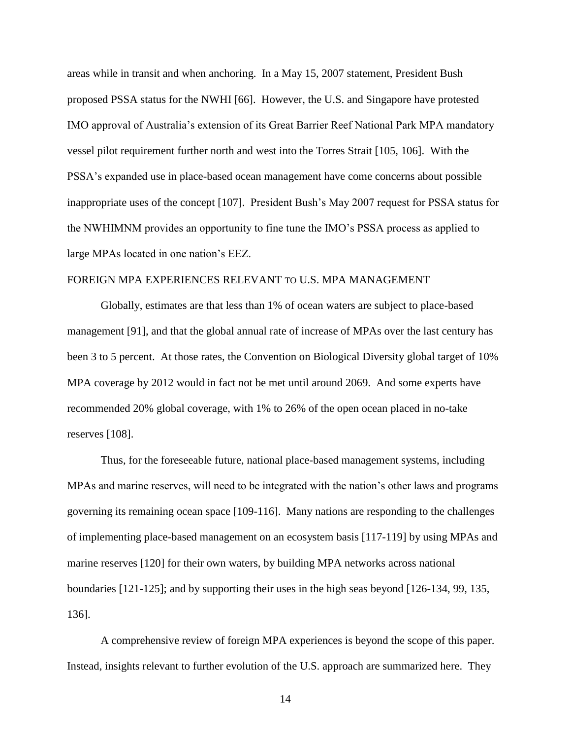areas while in transit and when anchoring. In a May 15, 2007 statement, President Bush proposed PSSA status for the NWHI [66]. However, the U.S. and Singapore have protested IMO approval of Australia's extension of its Great Barrier Reef National Park MPA mandatory vessel pilot requirement further north and west into the Torres Strait [105, 106]. With the PSSA's expanded use in place-based ocean management have come concerns about possible inappropriate uses of the concept [107]. President Bush's May 2007 request for PSSA status for the NWHIMNM provides an opportunity to fine tune the IMO's PSSA process as applied to large MPAs located in one nation's EEZ.

# FOREIGN MPA EXPERIENCES RELEVANT TO U.S. MPA MANAGEMENT

Globally, estimates are that less than 1% of ocean waters are subject to place-based management [91], and that the global annual rate of increase of MPAs over the last century has been 3 to 5 percent. At those rates, the Convention on Biological Diversity global target of 10% MPA coverage by 2012 would in fact not be met until around 2069. And some experts have recommended 20% global coverage, with 1% to 26% of the open ocean placed in no-take reserves [108].

Thus, for the foreseeable future, national place-based management systems, including MPAs and marine reserves, will need to be integrated with the nation's other laws and programs governing its remaining ocean space [109-116]. Many nations are responding to the challenges of implementing place-based management on an ecosystem basis [117-119] by using MPAs and marine reserves [120] for their own waters, by building MPA networks across national boundaries [121-125]; and by supporting their uses in the high seas beyond [126-134, 99, 135, 136].

A comprehensive review of foreign MPA experiences is beyond the scope of this paper. Instead, insights relevant to further evolution of the U.S. approach are summarized here. They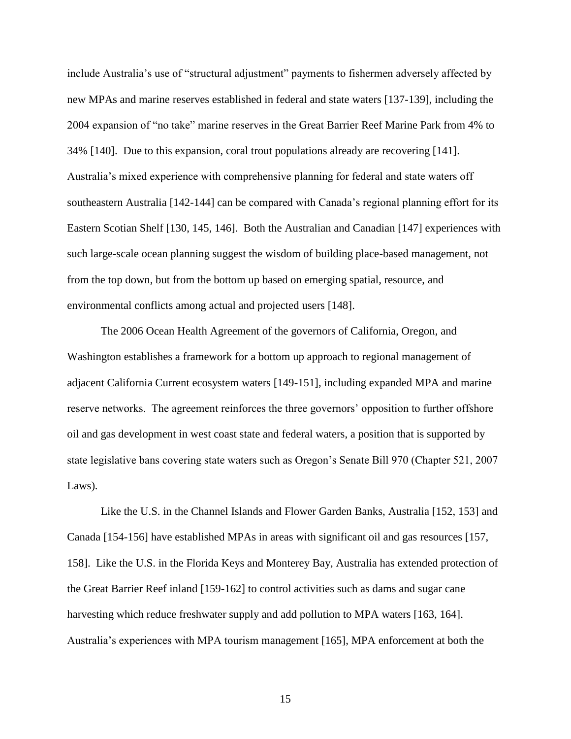include Australia's use of "structural adjustment" payments to fishermen adversely affected by new MPAs and marine reserves established in federal and state waters [137-139], including the 2004 expansion of "no take" marine reserves in the Great Barrier Reef Marine Park from 4% to 34% [140]. Due to this expansion, coral trout populations already are recovering [141]. Australia's mixed experience with comprehensive planning for federal and state waters off southeastern Australia [142-144] can be compared with Canada's regional planning effort for its Eastern Scotian Shelf [130, 145, 146]. Both the Australian and Canadian [147] experiences with such large-scale ocean planning suggest the wisdom of building place-based management, not from the top down, but from the bottom up based on emerging spatial, resource, and environmental conflicts among actual and projected users [148].

The 2006 Ocean Health Agreement of the governors of California, Oregon, and Washington establishes a framework for a bottom up approach to regional management of adjacent California Current ecosystem waters [149-151], including expanded MPA and marine reserve networks. The agreement reinforces the three governors' opposition to further offshore oil and gas development in west coast state and federal waters, a position that is supported by state legislative bans covering state waters such as Oregon's Senate Bill 970 (Chapter 521, 2007 Laws).

Like the U.S. in the Channel Islands and Flower Garden Banks, Australia [152, 153] and Canada [154-156] have established MPAs in areas with significant oil and gas resources [157, 158]. Like the U.S. in the Florida Keys and Monterey Bay, Australia has extended protection of the Great Barrier Reef inland [159-162] to control activities such as dams and sugar cane harvesting which reduce freshwater supply and add pollution to MPA waters [163, 164]. Australia's experiences with MPA tourism management [165], MPA enforcement at both the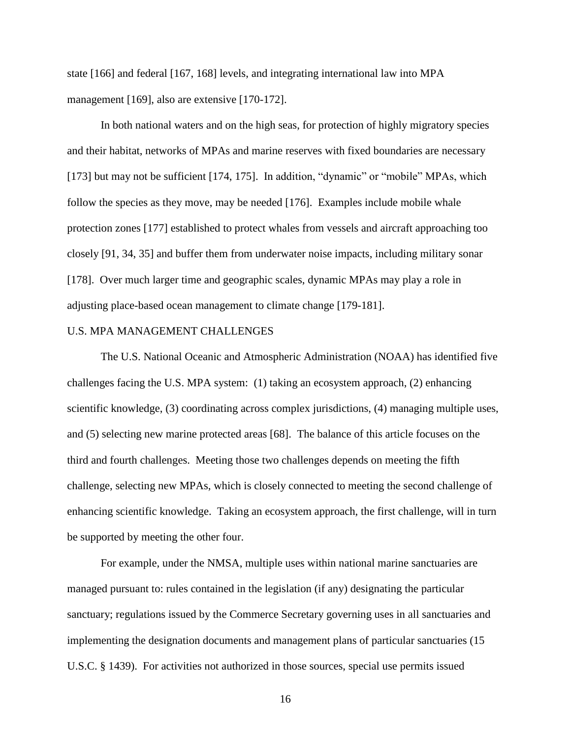state [166] and federal [167, 168] levels, and integrating international law into MPA management [169], also are extensive [170-172].

In both national waters and on the high seas, for protection of highly migratory species and their habitat, networks of MPAs and marine reserves with fixed boundaries are necessary [173] but may not be sufficient  $[174, 175]$ . In addition, "dynamic" or "mobile" MPAs, which follow the species as they move, may be needed [176]. Examples include mobile whale protection zones [177] established to protect whales from vessels and aircraft approaching too closely [91, 34, 35] and buffer them from underwater noise impacts, including military sonar [178]. Over much larger time and geographic scales, dynamic MPAs may play a role in adjusting place-based ocean management to climate change [179-181].

## U.S. MPA MANAGEMENT CHALLENGES

The U.S. National Oceanic and Atmospheric Administration (NOAA) has identified five challenges facing the U.S. MPA system: (1) taking an ecosystem approach, (2) enhancing scientific knowledge, (3) coordinating across complex jurisdictions, (4) managing multiple uses, and (5) selecting new marine protected areas [68]. The balance of this article focuses on the third and fourth challenges. Meeting those two challenges depends on meeting the fifth challenge, selecting new MPAs, which is closely connected to meeting the second challenge of enhancing scientific knowledge. Taking an ecosystem approach, the first challenge, will in turn be supported by meeting the other four.

For example, under the NMSA, multiple uses within national marine sanctuaries are managed pursuant to: rules contained in the legislation (if any) designating the particular sanctuary; regulations issued by the Commerce Secretary governing uses in all sanctuaries and implementing the designation documents and management plans of particular sanctuaries (15 U.S.C. § 1439). For activities not authorized in those sources, special use permits issued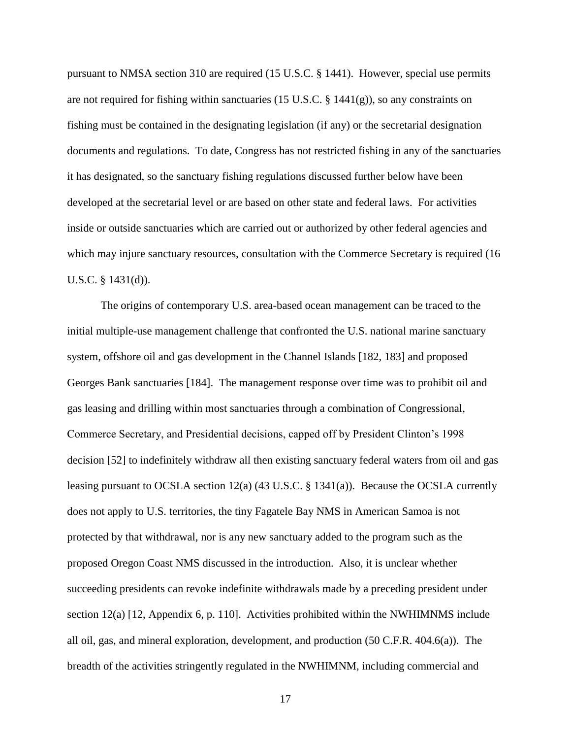pursuant to NMSA section 310 are required (15 U.S.C. § 1441). However, special use permits are not required for fishing within sanctuaries (15 U.S.C.  $\S$  1441(g)), so any constraints on fishing must be contained in the designating legislation (if any) or the secretarial designation documents and regulations. To date, Congress has not restricted fishing in any of the sanctuaries it has designated, so the sanctuary fishing regulations discussed further below have been developed at the secretarial level or are based on other state and federal laws. For activities inside or outside sanctuaries which are carried out or authorized by other federal agencies and which may injure sanctuary resources, consultation with the Commerce Secretary is required (16) U.S.C. § 1431(d)).

The origins of contemporary U.S. area-based ocean management can be traced to the initial multiple-use management challenge that confronted the U.S. national marine sanctuary system, offshore oil and gas development in the Channel Islands [182, 183] and proposed Georges Bank sanctuaries [184]. The management response over time was to prohibit oil and gas leasing and drilling within most sanctuaries through a combination of Congressional, Commerce Secretary, and Presidential decisions, capped off by President Clinton's 1998 decision [52] to indefinitely withdraw all then existing sanctuary federal waters from oil and gas leasing pursuant to OCSLA section 12(a) (43 U.S.C. § 1341(a)). Because the OCSLA currently does not apply to U.S. territories, the tiny Fagatele Bay NMS in American Samoa is not protected by that withdrawal, nor is any new sanctuary added to the program such as the proposed Oregon Coast NMS discussed in the introduction. Also, it is unclear whether succeeding presidents can revoke indefinite withdrawals made by a preceding president under section 12(a) [12, Appendix 6, p. 110]. Activities prohibited within the NWHIMNMS include all oil, gas, and mineral exploration, development, and production (50 C.F.R. 404.6(a)). The breadth of the activities stringently regulated in the NWHIMNM, including commercial and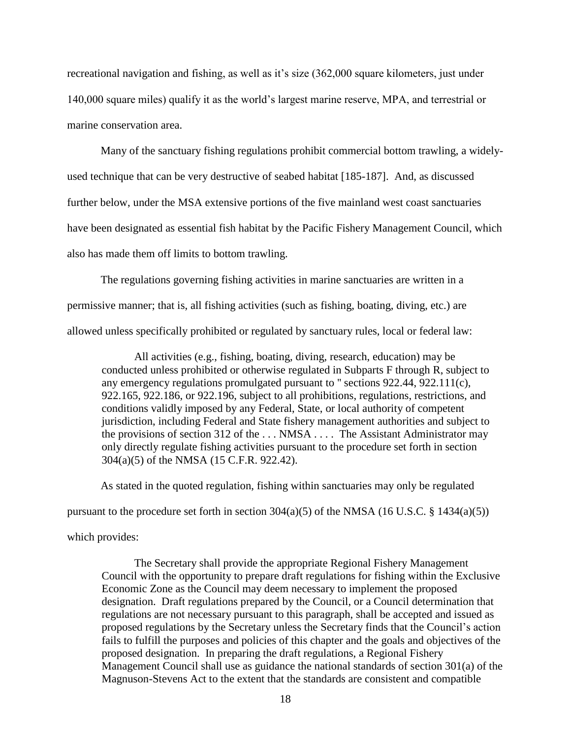recreational navigation and fishing, as well as it's size (362,000 square kilometers, just under 140,000 square miles) qualify it as the world's largest marine reserve, MPA, and terrestrial or marine conservation area.

Many of the sanctuary fishing regulations prohibit commercial bottom trawling, a widelyused technique that can be very destructive of seabed habitat [185-187]. And, as discussed further below, under the MSA extensive portions of the five mainland west coast sanctuaries have been designated as essential fish habitat by the Pacific Fishery Management Council, which also has made them off limits to bottom trawling.

The regulations governing fishing activities in marine sanctuaries are written in a permissive manner; that is, all fishing activities (such as fishing, boating, diving, etc.) are allowed unless specifically prohibited or regulated by sanctuary rules, local or federal law:

All activities (e.g., fishing, boating, diving, research, education) may be conducted unless prohibited or otherwise regulated in Subparts F through R, subject to any emergency regulations promulgated pursuant to '' sections 922.44, 922.111(c), 922.165, 922.186, or 922.196, subject to all prohibitions, regulations, restrictions, and conditions validly imposed by any Federal, State, or local authority of competent jurisdiction, including Federal and State fishery management authorities and subject to the provisions of section 312 of the . . . NMSA . . . . The Assistant Administrator may only directly regulate fishing activities pursuant to the procedure set forth in section 304(a)(5) of the NMSA (15 C.F.R. 922.42).

As stated in the quoted regulation, fishing within sanctuaries may only be regulated

pursuant to the procedure set forth in section  $304(a)(5)$  of the NMSA (16 U.S.C. § 1434(a)(5))

which provides:

The Secretary shall provide the appropriate Regional Fishery Management Council with the opportunity to prepare draft regulations for fishing within the Exclusive Economic Zone as the Council may deem necessary to implement the proposed designation. Draft regulations prepared by the Council, or a Council determination that regulations are not necessary pursuant to this paragraph, shall be accepted and issued as proposed regulations by the Secretary unless the Secretary finds that the Council's action fails to fulfill the purposes and policies of this chapter and the goals and objectives of the proposed designation. In preparing the draft regulations, a Regional Fishery Management Council shall use as guidance the national standards of section 301(a) of the Magnuson-Stevens Act to the extent that the standards are consistent and compatible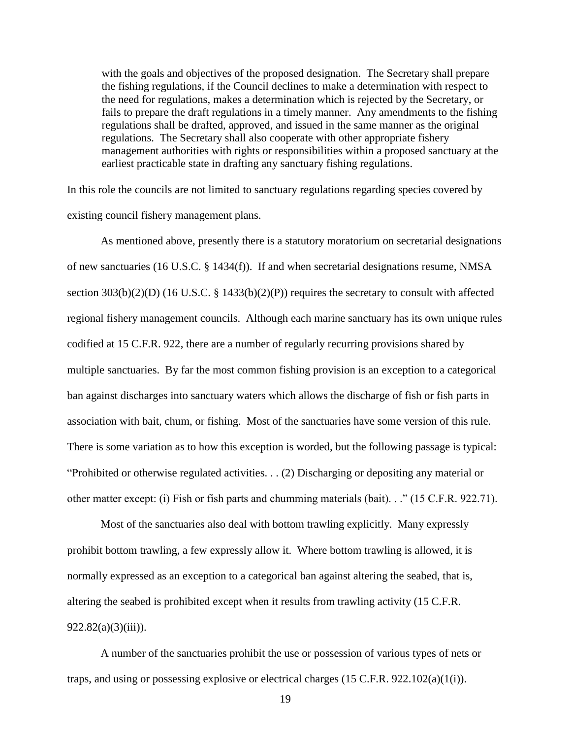with the goals and objectives of the proposed designation. The Secretary shall prepare the fishing regulations, if the Council declines to make a determination with respect to the need for regulations, makes a determination which is rejected by the Secretary, or fails to prepare the draft regulations in a timely manner. Any amendments to the fishing regulations shall be drafted, approved, and issued in the same manner as the original regulations. The Secretary shall also cooperate with other appropriate fishery management authorities with rights or responsibilities within a proposed sanctuary at the earliest practicable state in drafting any sanctuary fishing regulations.

In this role the councils are not limited to sanctuary regulations regarding species covered by existing council fishery management plans.

As mentioned above, presently there is a statutory moratorium on secretarial designations of new sanctuaries (16 U.S.C. § 1434(f)). If and when secretarial designations resume, NMSA section 303(b)(2)(D) (16 U.S.C. § 1433(b)(2)(P)) requires the secretary to consult with affected regional fishery management councils. Although each marine sanctuary has its own unique rules codified at 15 C.F.R. 922, there are a number of regularly recurring provisions shared by multiple sanctuaries. By far the most common fishing provision is an exception to a categorical ban against discharges into sanctuary waters which allows the discharge of fish or fish parts in association with bait, chum, or fishing. Most of the sanctuaries have some version of this rule. There is some variation as to how this exception is worded, but the following passage is typical: "Prohibited or otherwise regulated activities.  $\ldots$  (2) Discharging or depositing any material or other matter except: (i) Fish or fish parts and chumming materials (bait). . ." (15 C.F.R. 922.71).

Most of the sanctuaries also deal with bottom trawling explicitly. Many expressly prohibit bottom trawling, a few expressly allow it. Where bottom trawling is allowed, it is normally expressed as an exception to a categorical ban against altering the seabed, that is, altering the seabed is prohibited except when it results from trawling activity (15 C.F.R.  $922.82(a)(3)(iii)$ ).

A number of the sanctuaries prohibit the use or possession of various types of nets or traps, and using or possessing explosive or electrical charges (15 C.F.R. 922.102(a)(1(i)).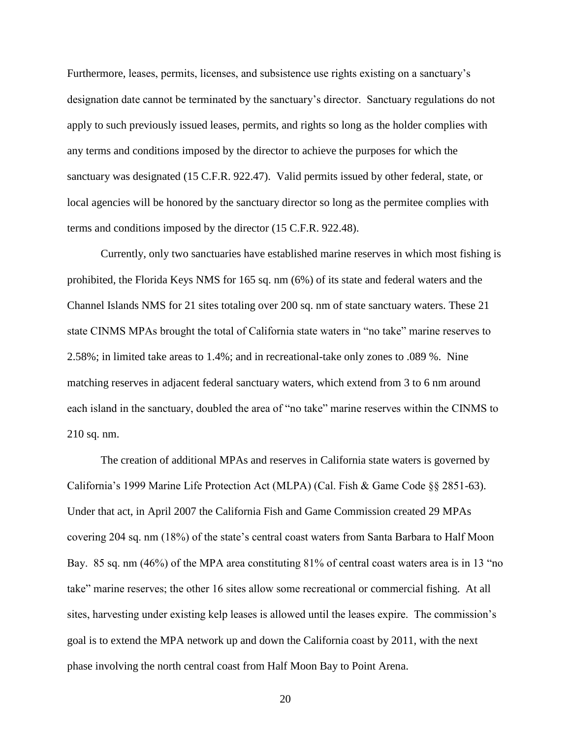Furthermore, leases, permits, licenses, and subsistence use rights existing on a sanctuary's designation date cannot be terminated by the sanctuary's director. Sanctuary regulations do not apply to such previously issued leases, permits, and rights so long as the holder complies with any terms and conditions imposed by the director to achieve the purposes for which the sanctuary was designated (15 C.F.R. 922.47). Valid permits issued by other federal, state, or local agencies will be honored by the sanctuary director so long as the permitee complies with terms and conditions imposed by the director (15 C.F.R. 922.48).

Currently, only two sanctuaries have established marine reserves in which most fishing is prohibited, the Florida Keys NMS for 165 sq. nm (6%) of its state and federal waters and the Channel Islands NMS for 21 sites totaling over 200 sq. nm of state sanctuary waters. These 21 state CINMS MPAs brought the total of California state waters in "no take" marine reserves to 2.58%; in limited take areas to 1.4%; and in recreational-take only zones to .089 %. Nine matching reserves in adjacent federal sanctuary waters, which extend from 3 to 6 nm around each island in the sanctuary, doubled the area of "no take" marine reserves within the CINMS to 210 sq. nm.

The creation of additional MPAs and reserves in California state waters is governed by California's 1999 Marine Life Protection Act (MLPA) (Cal. Fish & Game Code §§ 2851-63). Under that act, in April 2007 the California Fish and Game Commission created 29 MPAs covering 204 sq. nm (18%) of the state's central coast waters from Santa Barbara to Half Moon Bay. 85 sq. nm (46%) of the MPA area constituting 81% of central coast waters area is in 13 "no take" marine reserves; the other 16 sites allow some recreational or commercial fishing. At all sites, harvesting under existing kelp leases is allowed until the leases expire. The commission's goal is to extend the MPA network up and down the California coast by 2011, with the next phase involving the north central coast from Half Moon Bay to Point Arena.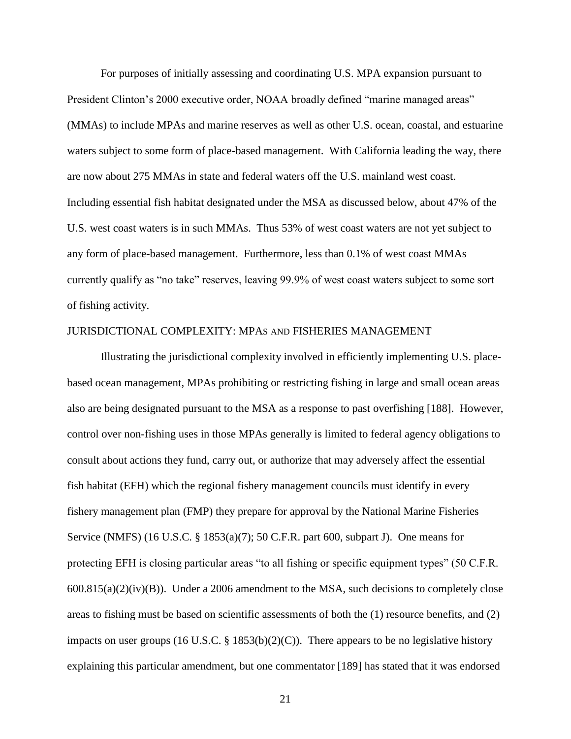For purposes of initially assessing and coordinating U.S. MPA expansion pursuant to President Clinton's 2000 executive order, NOAA broadly defined "marine managed areas" (MMAs) to include MPAs and marine reserves as well as other U.S. ocean, coastal, and estuarine waters subject to some form of place-based management. With California leading the way, there are now about 275 MMAs in state and federal waters off the U.S. mainland west coast. Including essential fish habitat designated under the MSA as discussed below, about 47% of the U.S. west coast waters is in such MMAs. Thus 53% of west coast waters are not yet subject to any form of place-based management. Furthermore, less than 0.1% of west coast MMAs currently qualify as "no take" reserves, leaving 99.9% of west coast waters subject to some sort of fishing activity.

#### JURISDICTIONAL COMPLEXITY: MPAS AND FISHERIES MANAGEMENT

Illustrating the jurisdictional complexity involved in efficiently implementing U.S. placebased ocean management, MPAs prohibiting or restricting fishing in large and small ocean areas also are being designated pursuant to the MSA as a response to past overfishing [188]. However, control over non-fishing uses in those MPAs generally is limited to federal agency obligations to consult about actions they fund, carry out, or authorize that may adversely affect the essential fish habitat (EFH) which the regional fishery management councils must identify in every fishery management plan (FMP) they prepare for approval by the National Marine Fisheries Service (NMFS) (16 U.S.C. § 1853(a)(7); 50 C.F.R. part 600, subpart J). One means for protecting EFH is closing particular areas "to all fishing or specific equipment types" (50 C.F.R.  $600.815(a)(2)(iv)(B)$ . Under a 2006 amendment to the MSA, such decisions to completely close areas to fishing must be based on scientific assessments of both the (1) resource benefits, and (2) impacts on user groups (16 U.S.C. § 1853(b)(2)(C)). There appears to be no legislative history explaining this particular amendment, but one commentator [189] has stated that it was endorsed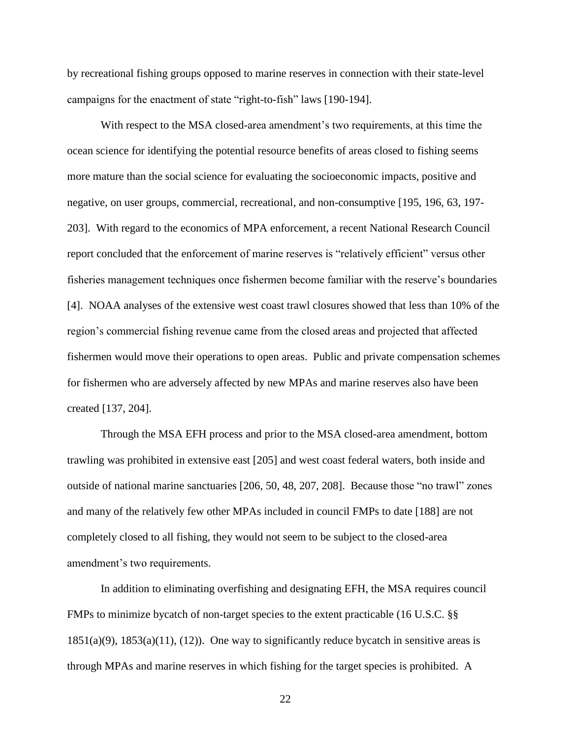by recreational fishing groups opposed to marine reserves in connection with their state-level campaigns for the enactment of state "right-to-fish" laws [190-194].

With respect to the MSA closed-area amendment's two requirements, at this time the ocean science for identifying the potential resource benefits of areas closed to fishing seems more mature than the social science for evaluating the socioeconomic impacts, positive and negative, on user groups, commercial, recreational, and non-consumptive [195, 196, 63, 197- 203]. With regard to the economics of MPA enforcement, a recent National Research Council report concluded that the enforcement of marine reserves is "relatively efficient" versus other fisheries management techniques once fishermen become familiar with the reserve's boundaries [4]. NOAA analyses of the extensive west coast trawl closures showed that less than 10% of the region's commercial fishing revenue came from the closed areas and projected that affected fishermen would move their operations to open areas. Public and private compensation schemes for fishermen who are adversely affected by new MPAs and marine reserves also have been created [137, 204].

Through the MSA EFH process and prior to the MSA closed-area amendment, bottom trawling was prohibited in extensive east [205] and west coast federal waters, both inside and outside of national marine sanctuaries [206, 50, 48, 207, 208]. Because those "no trawl" zones and many of the relatively few other MPAs included in council FMPs to date [188] are not completely closed to all fishing, they would not seem to be subject to the closed-area amendment's two requirements.

In addition to eliminating overfishing and designating EFH, the MSA requires council FMPs to minimize bycatch of non-target species to the extent practicable (16 U.S.C. §§  $1851(a)(9)$ ,  $1853(a)(11)$ ,  $(12)$ ). One way to significantly reduce bycatch in sensitive areas is through MPAs and marine reserves in which fishing for the target species is prohibited. A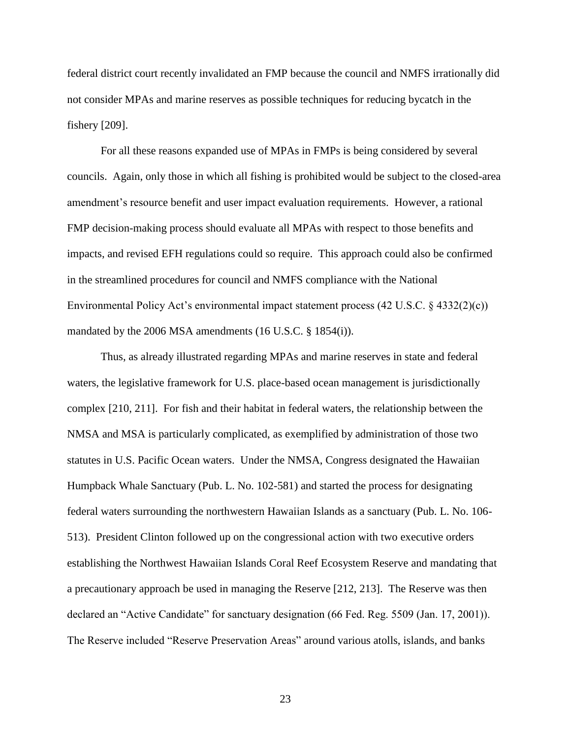federal district court recently invalidated an FMP because the council and NMFS irrationally did not consider MPAs and marine reserves as possible techniques for reducing bycatch in the fishery [209].

For all these reasons expanded use of MPAs in FMPs is being considered by several councils. Again, only those in which all fishing is prohibited would be subject to the closed-area amendment's resource benefit and user impact evaluation requirements. However, a rational FMP decision-making process should evaluate all MPAs with respect to those benefits and impacts, and revised EFH regulations could so require. This approach could also be confirmed in the streamlined procedures for council and NMFS compliance with the National Environmental Policy Act's environmental impact statement process  $(42 \text{ U.S.C.} \& 4332(2)(c))$ mandated by the 2006 MSA amendments (16 U.S.C. § 1854(i)).

Thus, as already illustrated regarding MPAs and marine reserves in state and federal waters, the legislative framework for U.S. place-based ocean management is jurisdictionally complex [210, 211]. For fish and their habitat in federal waters, the relationship between the NMSA and MSA is particularly complicated, as exemplified by administration of those two statutes in U.S. Pacific Ocean waters. Under the NMSA, Congress designated the Hawaiian Humpback Whale Sanctuary (Pub. L. No. 102-581) and started the process for designating federal waters surrounding the northwestern Hawaiian Islands as a sanctuary (Pub. L. No. 106- 513). President Clinton followed up on the congressional action with two executive orders establishing the Northwest Hawaiian Islands Coral Reef Ecosystem Reserve and mandating that a precautionary approach be used in managing the Reserve [212, 213]. The Reserve was then declared an "Active Candidate" for sanctuary designation (66 Fed. Reg. 5509 (Jan. 17, 2001)). The Reserve included "Reserve Preservation Areas" around various atolls, islands, and banks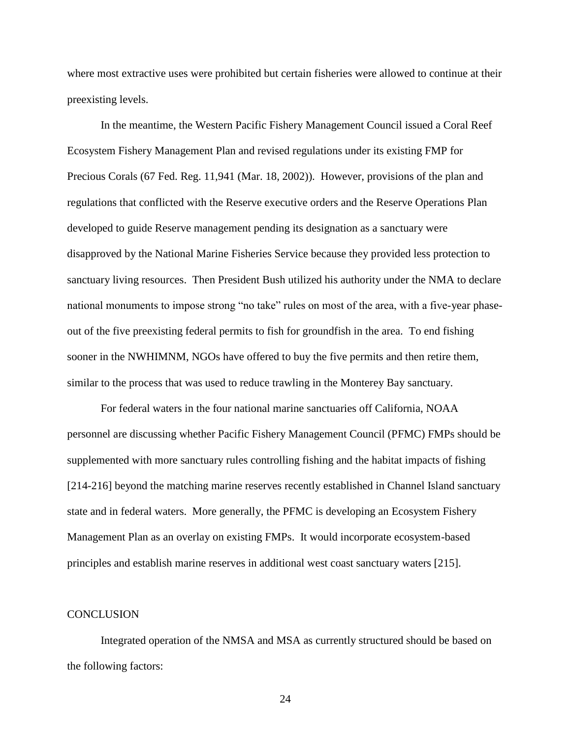where most extractive uses were prohibited but certain fisheries were allowed to continue at their preexisting levels.

In the meantime, the Western Pacific Fishery Management Council issued a Coral Reef Ecosystem Fishery Management Plan and revised regulations under its existing FMP for Precious Corals (67 Fed. Reg. 11,941 (Mar. 18, 2002)). However, provisions of the plan and regulations that conflicted with the Reserve executive orders and the Reserve Operations Plan developed to guide Reserve management pending its designation as a sanctuary were disapproved by the National Marine Fisheries Service because they provided less protection to sanctuary living resources. Then President Bush utilized his authority under the NMA to declare national monuments to impose strong "no take" rules on most of the area, with a five-year phaseout of the five preexisting federal permits to fish for groundfish in the area. To end fishing sooner in the NWHIMNM, NGOs have offered to buy the five permits and then retire them, similar to the process that was used to reduce trawling in the Monterey Bay sanctuary.

For federal waters in the four national marine sanctuaries off California, NOAA personnel are discussing whether Pacific Fishery Management Council (PFMC) FMPs should be supplemented with more sanctuary rules controlling fishing and the habitat impacts of fishing [214-216] beyond the matching marine reserves recently established in Channel Island sanctuary state and in federal waters. More generally, the PFMC is developing an Ecosystem Fishery Management Plan as an overlay on existing FMPs. It would incorporate ecosystem-based principles and establish marine reserves in additional west coast sanctuary waters [215].

## **CONCLUSION**

Integrated operation of the NMSA and MSA as currently structured should be based on the following factors: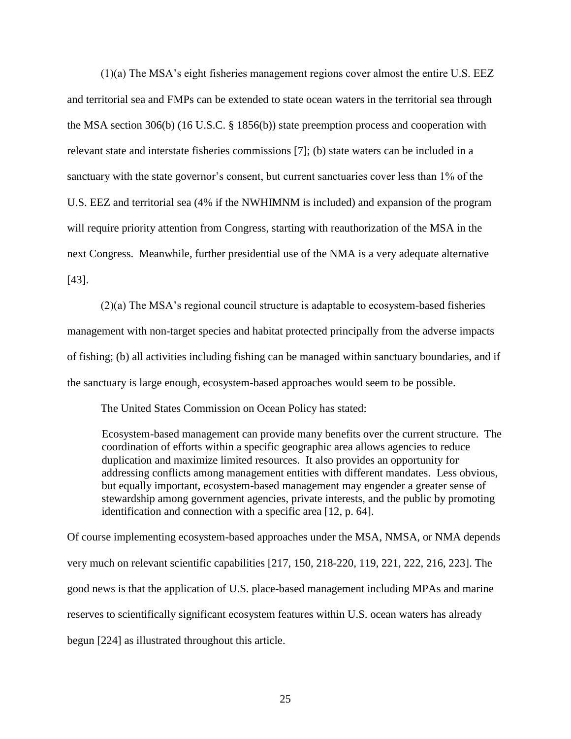(1)(a) The MSA's eight fisheries management regions cover almost the entire U.S. EEZ and territorial sea and FMPs can be extended to state ocean waters in the territorial sea through the MSA section 306(b) (16 U.S.C. § 1856(b)) state preemption process and cooperation with relevant state and interstate fisheries commissions [7]; (b) state waters can be included in a sanctuary with the state governor's consent, but current sanctuaries cover less than 1% of the U.S. EEZ and territorial sea (4% if the NWHIMNM is included) and expansion of the program will require priority attention from Congress, starting with reauthorization of the MSA in the next Congress. Meanwhile, further presidential use of the NMA is a very adequate alternative [43].

(2)(a) The MSA's regional council structure is adaptable to ecosystem-based fisheries management with non-target species and habitat protected principally from the adverse impacts of fishing; (b) all activities including fishing can be managed within sanctuary boundaries, and if the sanctuary is large enough, ecosystem-based approaches would seem to be possible.

The United States Commission on Ocean Policy has stated:

Ecosystem-based management can provide many benefits over the current structure. The coordination of efforts within a specific geographic area allows agencies to reduce duplication and maximize limited resources. It also provides an opportunity for addressing conflicts among management entities with different mandates. Less obvious, but equally important, ecosystem-based management may engender a greater sense of stewardship among government agencies, private interests, and the public by promoting identification and connection with a specific area [12, p. 64].

Of course implementing ecosystem-based approaches under the MSA, NMSA, or NMA depends very much on relevant scientific capabilities [217, 150, 218-220, 119, 221, 222, 216, 223]. The good news is that the application of U.S. place-based management including MPAs and marine reserves to scientifically significant ecosystem features within U.S. ocean waters has already begun [224] as illustrated throughout this article.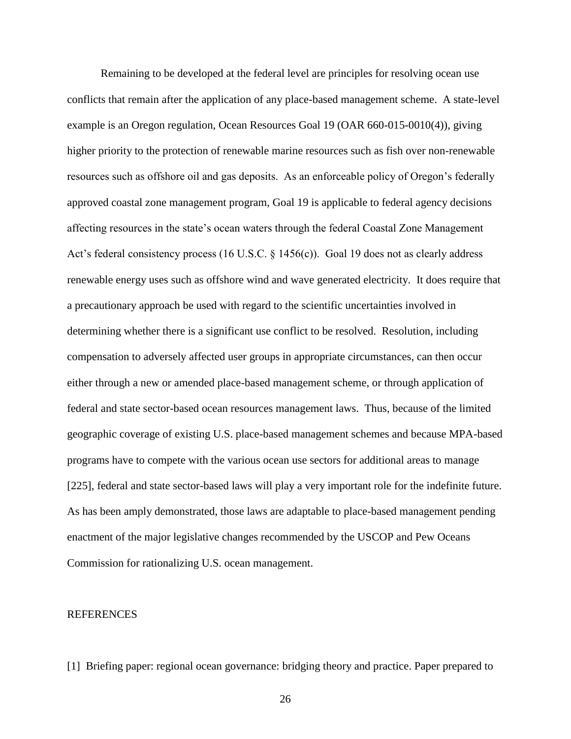Remaining to be developed at the federal level are principles for resolving ocean use conflicts that remain after the application of any place-based management scheme. A state-level example is an Oregon regulation, Ocean Resources Goal 19 (OAR 660-015-0010(4)), giving higher priority to the protection of renewable marine resources such as fish over non-renewable resources such as offshore oil and gas deposits. As an enforceable policy of Oregon's federally approved coastal zone management program, Goal 19 is applicable to federal agency decisions affecting resources in the state's ocean waters through the federal Coastal Zone Management Act's federal consistency process (16 U.S.C. § 1456(c)). Goal 19 does not as clearly address renewable energy uses such as offshore wind and wave generated electricity. It does require that a precautionary approach be used with regard to the scientific uncertainties involved in determining whether there is a significant use conflict to be resolved. Resolution, including compensation to adversely affected user groups in appropriate circumstances, can then occur either through a new or amended place-based management scheme, or through application of federal and state sector-based ocean resources management laws. Thus, because of the limited geographic coverage of existing U.S. place-based management schemes and because MPA-based programs have to compete with the various ocean use sectors for additional areas to manage [225], federal and state sector-based laws will play a very important role for the indefinite future. As has been amply demonstrated, those laws are adaptable to place-based management pending enactment of the major legislative changes recommended by the USCOP and Pew Oceans Commission for rationalizing U.S. ocean management.

## **REFERENCES**

[1] Briefing paper: regional ocean governance: bridging theory and practice. Paper prepared to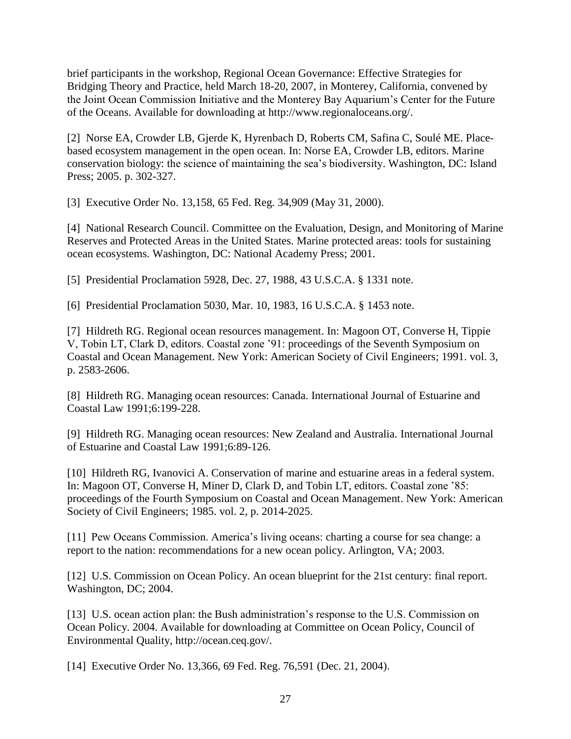brief participants in the workshop, Regional Ocean Governance: Effective Strategies for Bridging Theory and Practice, held March 18-20, 2007, in Monterey, California, convened by the Joint Ocean Commission Initiative and the Monterey Bay Aquarium's Center for the Future of the Oceans. Available for downloading at http://www.regionaloceans.org/.

[2] Norse EA, Crowder LB, Gjerde K, Hyrenbach D, Roberts CM, Safina C, Soulé ME. Placebased ecosystem management in the open ocean. In: Norse EA, Crowder LB, editors. Marine conservation biology: the science of maintaining the sea's biodiversity. Washington, DC: Island Press; 2005. p. 302-327.

[3] Executive Order No. 13,158, 65 Fed. Reg. 34,909 (May 31, 2000).

[4] National Research Council. Committee on the Evaluation, Design, and Monitoring of Marine Reserves and Protected Areas in the United States. Marine protected areas: tools for sustaining ocean ecosystems. Washington, DC: National Academy Press; 2001.

[5] Presidential Proclamation 5928, Dec. 27, 1988, 43 U.S.C.A. § 1331 note.

[6] Presidential Proclamation 5030, Mar. 10, 1983, 16 U.S.C.A. § 1453 note.

[7] Hildreth RG. Regional ocean resources management. In: Magoon OT, Converse H, Tippie V, Tobin LT, Clark D, editors. Coastal zone '91: proceedings of the Seventh Symposium on Coastal and Ocean Management. New York: American Society of Civil Engineers; 1991. vol. 3, p. 2583-2606.

[8] Hildreth RG. Managing ocean resources: Canada. International Journal of Estuarine and Coastal Law 1991;6:199-228.

[9] Hildreth RG. Managing ocean resources: New Zealand and Australia. International Journal of Estuarine and Coastal Law 1991;6:89-126.

[10] Hildreth RG, Ivanovici A. Conservation of marine and estuarine areas in a federal system. In: Magoon OT, Converse H, Miner D, Clark D, and Tobin LT, editors. Coastal zone '85: proceedings of the Fourth Symposium on Coastal and Ocean Management. New York: American Society of Civil Engineers; 1985. vol. 2, p. 2014-2025.

[11] Pew Oceans Commission. America's living oceans: charting a course for sea change: a report to the nation: recommendations for a new ocean policy. Arlington, VA; 2003.

[12] U.S. Commission on Ocean Policy. An ocean blueprint for the 21st century: final report. Washington, DC; 2004.

[13] U.S. ocean action plan: the Bush administration's response to the U.S. Commission on Ocean Policy. 2004. Available for downloading at Committee on Ocean Policy, Council of Environmental Quality, http://ocean.ceq.gov/.

[14] Executive Order No. 13,366, 69 Fed. Reg. 76,591 (Dec. 21, 2004).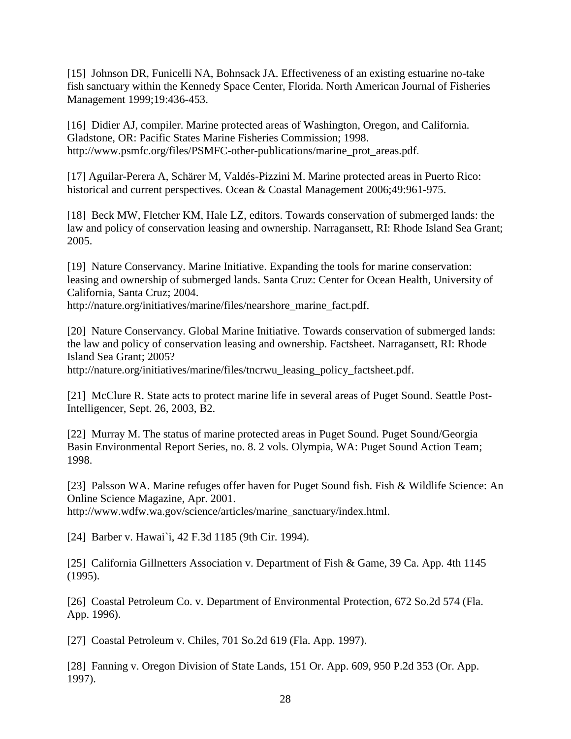[15] Johnson DR, Funicelli NA, Bohnsack JA. Effectiveness of an existing estuarine no-take fish sanctuary within the Kennedy Space Center, Florida. North American Journal of Fisheries Management 1999;19:436-453.

[16] Didier AJ, compiler. Marine protected areas of Washington, Oregon, and California. Gladstone, OR: Pacific States Marine Fisheries Commission; 1998. http://www.psmfc.org/files/PSMFC-other-publications/marine\_prot\_areas.pdf.

[17] Aguilar-Perera A, Schärer M, Valdés-Pizzini M. Marine protected areas in Puerto Rico: historical and current perspectives. Ocean & Coastal Management 2006;49:961-975.

[18] Beck MW, Fletcher KM, Hale LZ, editors. Towards conservation of submerged lands: the law and policy of conservation leasing and ownership. Narragansett, RI: Rhode Island Sea Grant; 2005.

[19] Nature Conservancy. Marine Initiative. Expanding the tools for marine conservation: leasing and ownership of submerged lands. Santa Cruz: Center for Ocean Health, University of California, Santa Cruz; 2004.

http://nature.org/initiatives/marine/files/nearshore\_marine\_fact.pdf.

[20] Nature Conservancy. Global Marine Initiative. Towards conservation of submerged lands: the law and policy of conservation leasing and ownership. Factsheet. Narragansett, RI: Rhode Island Sea Grant; 2005?

http://nature.org/initiatives/marine/files/tncrwu\_leasing\_policy\_factsheet.pdf.

[21] McClure R. State acts to protect marine life in several areas of Puget Sound. Seattle Post-Intelligencer, Sept. 26, 2003, B2.

[22] Murray M. The status of marine protected areas in Puget Sound. Puget Sound/Georgia Basin Environmental Report Series, no. 8. 2 vols. Olympia, WA: Puget Sound Action Team; 1998.

[23] Palsson WA. Marine refuges offer haven for Puget Sound fish. Fish & Wildlife Science: An Online Science Magazine, Apr. 2001.

http://www.wdfw.wa.gov/science/articles/marine\_sanctuary/index.html.

[24] Barber v. Hawai`i, 42 F.3d 1185 (9th Cir. 1994).

[25] California Gillnetters Association v. Department of Fish & Game, 39 Ca. App. 4th 1145 (1995).

[26] Coastal Petroleum Co. v. Department of Environmental Protection, 672 So.2d 574 (Fla. App. 1996).

[27] Coastal Petroleum v. Chiles, 701 So.2d 619 (Fla. App. 1997).

[28] Fanning v. Oregon Division of State Lands, 151 Or. App. 609, 950 P.2d 353 (Or. App. 1997).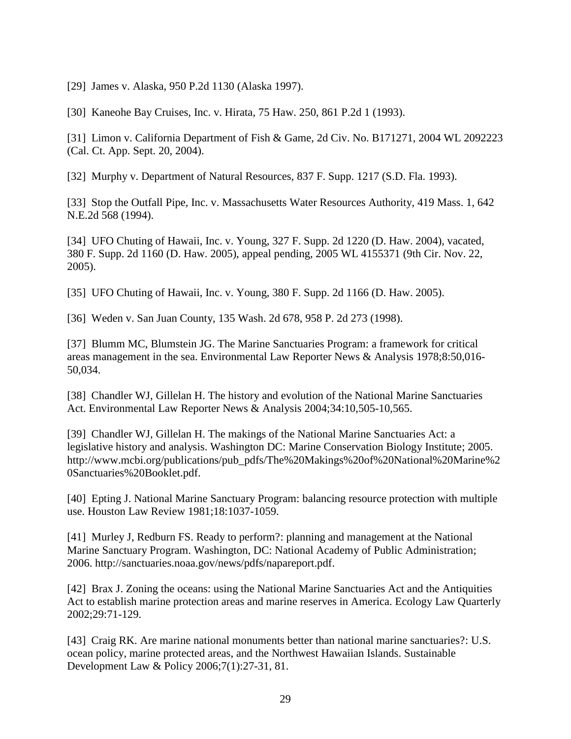[29] James v. Alaska, 950 P.2d 1130 (Alaska 1997).

[30] Kaneohe Bay Cruises, Inc. v. Hirata, 75 Haw. 250, 861 P.2d 1 (1993).

[31] Limon v. California Department of Fish & Game, 2d Civ. No. B171271, 2004 WL 2092223 (Cal. Ct. App. Sept. 20, 2004).

[32] Murphy v. Department of Natural Resources, 837 F. Supp. 1217 (S.D. Fla. 1993).

[33] Stop the Outfall Pipe, Inc. v. Massachusetts Water Resources Authority, 419 Mass. 1, 642 N.E.2d 568 (1994).

[34] UFO Chuting of Hawaii, Inc. v. Young, 327 F. Supp. 2d 1220 (D. Haw. 2004), vacated, 380 F. Supp. 2d 1160 (D. Haw. 2005), appeal pending, 2005 WL 4155371 (9th Cir. Nov. 22, 2005).

[35] UFO Chuting of Hawaii, Inc. v. Young, 380 F. Supp. 2d 1166 (D. Haw. 2005).

[36] Weden v. San Juan County, 135 Wash. 2d 678, 958 P. 2d 273 (1998).

[37] Blumm MC, Blumstein JG. The Marine Sanctuaries Program: a framework for critical areas management in the sea. Environmental Law Reporter News & Analysis 1978;8:50,016- 50,034.

[38] Chandler WJ, Gillelan H. The history and evolution of the National Marine Sanctuaries Act. Environmental Law Reporter News & Analysis 2004;34:10,505-10,565.

[39] Chandler WJ, Gillelan H. The makings of the National Marine Sanctuaries Act: a legislative history and analysis. Washington DC: Marine Conservation Biology Institute; 2005. http://www.mcbi.org/publications/pub\_pdfs/The%20Makings%20of%20National%20Marine%2 0Sanctuaries%20Booklet.pdf.

[40] Epting J. National Marine Sanctuary Program: balancing resource protection with multiple use. Houston Law Review 1981;18:1037-1059.

[41] Murley J, Redburn FS. Ready to perform?: planning and management at the National Marine Sanctuary Program. Washington, DC: National Academy of Public Administration; 2006. http://sanctuaries.noaa.gov/news/pdfs/napareport.pdf.

[42] Brax J. Zoning the oceans: using the National Marine Sanctuaries Act and the Antiquities Act to establish marine protection areas and marine reserves in America. Ecology Law Quarterly 2002;29:71-129.

[43] Craig RK. Are marine national monuments better than national marine sanctuaries?: U.S. ocean policy, marine protected areas, and the Northwest Hawaiian Islands. Sustainable Development Law & Policy 2006;7(1):27-31, 81.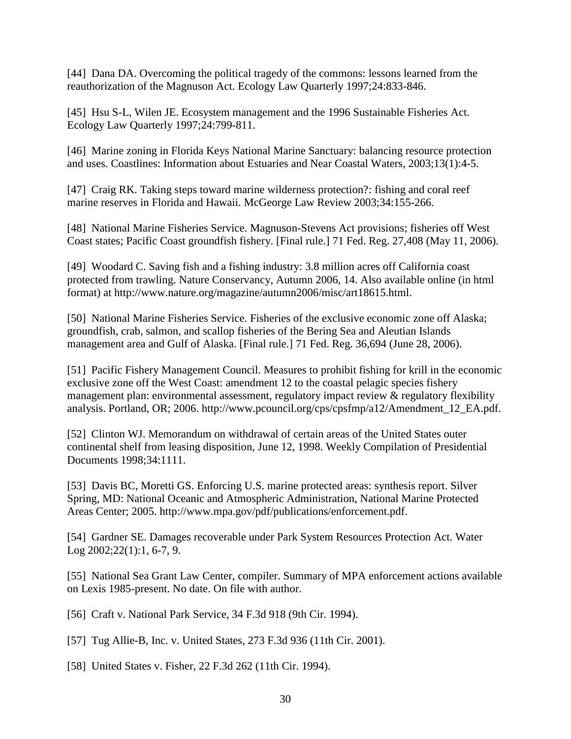[44] Dana DA. Overcoming the political tragedy of the commons: lessons learned from the reauthorization of the Magnuson Act. Ecology Law Quarterly 1997;24:833-846.

[45] Hsu S-L, Wilen JE. Ecosystem management and the 1996 Sustainable Fisheries Act. Ecology Law Quarterly 1997;24:799-811.

[46] Marine zoning in Florida Keys National Marine Sanctuary: balancing resource protection and uses. Coastlines: Information about Estuaries and Near Coastal Waters, 2003;13(1):4-5.

[47] Craig RK. Taking steps toward marine wilderness protection?: fishing and coral reef marine reserves in Florida and Hawaii. McGeorge Law Review 2003;34:155-266.

[48] National Marine Fisheries Service. Magnuson-Stevens Act provisions; fisheries off West Coast states; Pacific Coast groundfish fishery. [Final rule.] 71 Fed. Reg. 27,408 (May 11, 2006).

[49] Woodard C. Saving fish and a fishing industry: 3.8 million acres off California coast protected from trawling. Nature Conservancy, Autumn 2006, 14. Also available online (in html format) at http://www.nature.org/magazine/autumn2006/misc/art18615.html.

[50] National Marine Fisheries Service. Fisheries of the exclusive economic zone off Alaska; groundfish, crab, salmon, and scallop fisheries of the Bering Sea and Aleutian Islands management area and Gulf of Alaska. [Final rule.] 71 Fed. Reg. 36,694 (June 28, 2006).

[51] Pacific Fishery Management Council. Measures to prohibit fishing for krill in the economic exclusive zone off the West Coast: amendment 12 to the coastal pelagic species fishery management plan: environmental assessment, regulatory impact review & regulatory flexibility analysis. Portland, OR; 2006. http://www.pcouncil.org/cps/cpsfmp/a12/Amendment\_12\_EA.pdf.

[52] Clinton WJ. Memorandum on withdrawal of certain areas of the United States outer continental shelf from leasing disposition, June 12, 1998. Weekly Compilation of Presidential Documents 1998;34:1111.

[53] Davis BC, Moretti GS. Enforcing U.S. marine protected areas: synthesis report. Silver Spring, MD: National Oceanic and Atmospheric Administration, National Marine Protected Areas Center; 2005. http://www.mpa.gov/pdf/publications/enforcement.pdf.

[54] Gardner SE. Damages recoverable under Park System Resources Protection Act. Water Log 2002;22(1):1, 6-7, 9.

[55] National Sea Grant Law Center, compiler. Summary of MPA enforcement actions available on Lexis 1985-present. No date. On file with author.

[56] Craft v. National Park Service, 34 F.3d 918 (9th Cir. 1994).

[57] Tug Allie-B, Inc. v. United States, 273 F.3d 936 (11th Cir. 2001).

[58] United States v. Fisher, 22 F.3d 262 (11th Cir. 1994).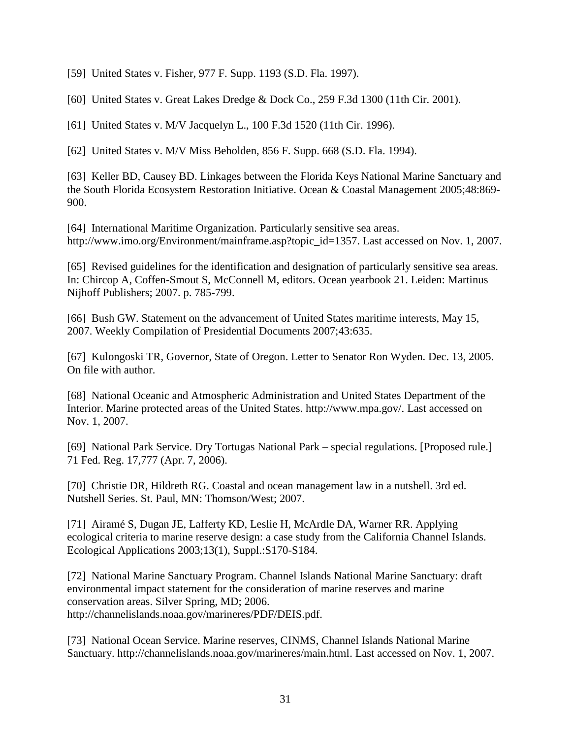[59] United States v. Fisher, 977 F. Supp. 1193 (S.D. Fla. 1997).

[60] United States v. Great Lakes Dredge & Dock Co., 259 F.3d 1300 (11th Cir. 2001).

[61] United States v. M/V Jacquelyn L., 100 F.3d 1520 (11th Cir. 1996).

[62] United States v. M/V Miss Beholden, 856 F. Supp. 668 (S.D. Fla. 1994).

[63] Keller BD, Causey BD. Linkages between the Florida Keys National Marine Sanctuary and the South Florida Ecosystem Restoration Initiative. Ocean & Coastal Management 2005;48:869- 900.

[64] International Maritime Organization. Particularly sensitive sea areas. http://www.imo.org/Environment/mainframe.asp?topic\_id=1357. Last accessed on Nov. 1, 2007.

[65] Revised guidelines for the identification and designation of particularly sensitive sea areas. In: Chircop A, Coffen-Smout S, McConnell M, editors. Ocean yearbook 21. Leiden: Martinus Nijhoff Publishers; 2007. p. 785-799.

[66] Bush GW. Statement on the advancement of United States maritime interests, May 15, 2007. Weekly Compilation of Presidential Documents 2007;43:635.

[67] Kulongoski TR, Governor, State of Oregon. Letter to Senator Ron Wyden. Dec. 13, 2005. On file with author.

[68] National Oceanic and Atmospheric Administration and United States Department of the Interior. Marine protected areas of the United States. http://www.mpa.gov/. Last accessed on Nov. 1, 2007.

[69] National Park Service. Dry Tortugas National Park – special regulations. [Proposed rule.] 71 Fed. Reg. 17,777 (Apr. 7, 2006).

[70] Christie DR, Hildreth RG. Coastal and ocean management law in a nutshell. 3rd ed. Nutshell Series. St. Paul, MN: Thomson/West; 2007.

[71] Airamé S, Dugan JE, Lafferty KD, Leslie H, McArdle DA, Warner RR. Applying ecological criteria to marine reserve design: a case study from the California Channel Islands. Ecological Applications 2003;13(1), Suppl.:S170-S184.

[72] National Marine Sanctuary Program. Channel Islands National Marine Sanctuary: draft environmental impact statement for the consideration of marine reserves and marine conservation areas. Silver Spring, MD; 2006. http://channelislands.noaa.gov/marineres/PDF/DEIS.pdf.

[73] National Ocean Service. Marine reserves, CINMS, Channel Islands National Marine Sanctuary. http://channelislands.noaa.gov/marineres/main.html. Last accessed on Nov. 1, 2007.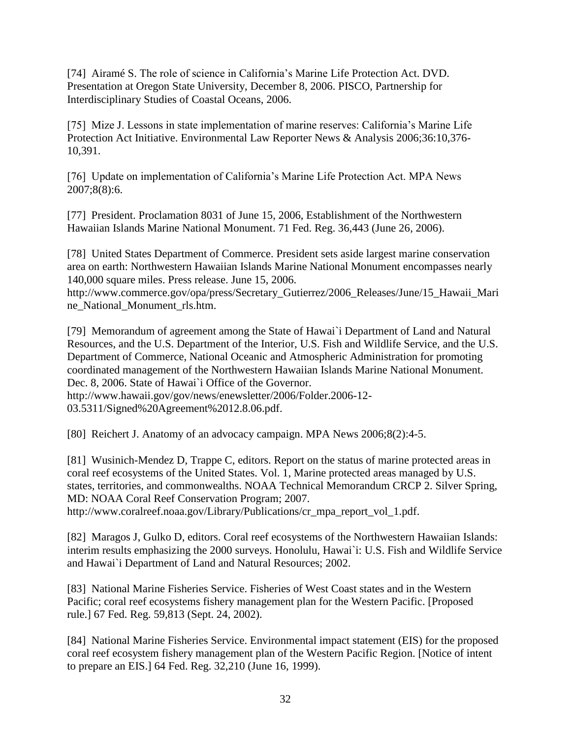[74] Airamé S. The role of science in California's Marine Life Protection Act. DVD. Presentation at Oregon State University, December 8, 2006. PISCO, Partnership for Interdisciplinary Studies of Coastal Oceans, 2006.

[75] Mize J. Lessons in state implementation of marine reserves: California's Marine Life Protection Act Initiative. Environmental Law Reporter News & Analysis 2006;36:10,376- 10,391.

[76] Update on implementation of California's Marine Life Protection Act. MPA News 2007;8(8):6.

[77] President. Proclamation 8031 of June 15, 2006, Establishment of the Northwestern Hawaiian Islands Marine National Monument. 71 Fed. Reg. 36,443 (June 26, 2006).

[78] United States Department of Commerce. President sets aside largest marine conservation area on earth: Northwestern Hawaiian Islands Marine National Monument encompasses nearly 140,000 square miles. Press release. June 15, 2006.

http://www.commerce.gov/opa/press/Secretary\_Gutierrez/2006\_Releases/June/15\_Hawaii\_Mari ne\_National\_Monument\_rls.htm.

[79] Memorandum of agreement among the State of Hawai`i Department of Land and Natural Resources, and the U.S. Department of the Interior, U.S. Fish and Wildlife Service, and the U.S. Department of Commerce, National Oceanic and Atmospheric Administration for promoting coordinated management of the Northwestern Hawaiian Islands Marine National Monument. Dec. 8, 2006. State of Hawai`i Office of the Governor. http://www.hawaii.gov/gov/news/enewsletter/2006/Folder.2006-12-

03.5311/Signed%20Agreement%2012.8.06.pdf.

[80] Reichert J. Anatomy of an advocacy campaign. MPA News 2006;8(2):4-5.

[81] Wusinich-Mendez D, Trappe C, editors. Report on the status of marine protected areas in coral reef ecosystems of the United States. Vol. 1, Marine protected areas managed by U.S. states, territories, and commonwealths. NOAA Technical Memorandum CRCP 2. Silver Spring, MD: NOAA Coral Reef Conservation Program; 2007.

http://www.coralreef.noaa.gov/Library/Publications/cr\_mpa\_report\_vol\_1.pdf.

[82] Maragos J, Gulko D, editors. Coral reef ecosystems of the Northwestern Hawaiian Islands: interim results emphasizing the 2000 surveys. Honolulu, Hawai`i: U.S. Fish and Wildlife Service and Hawai`i Department of Land and Natural Resources; 2002.

[83] National Marine Fisheries Service. Fisheries of West Coast states and in the Western Pacific; coral reef ecosystems fishery management plan for the Western Pacific. [Proposed rule.] 67 Fed. Reg. 59,813 (Sept. 24, 2002).

[84] National Marine Fisheries Service. Environmental impact statement (EIS) for the proposed coral reef ecosystem fishery management plan of the Western Pacific Region. [Notice of intent to prepare an EIS.] 64 Fed. Reg. 32,210 (June 16, 1999).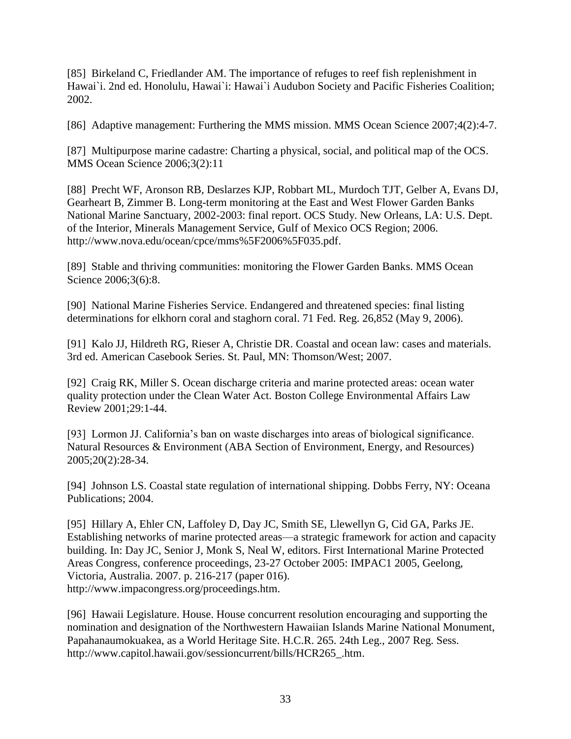[85] Birkeland C, Friedlander AM. The importance of refuges to reef fish replenishment in Hawai`i. 2nd ed. Honolulu, Hawai`i: Hawai`i Audubon Society and Pacific Fisheries Coalition; 2002.

[86] Adaptive management: Furthering the MMS mission. MMS Ocean Science 2007;4(2):4-7.

[87] Multipurpose marine cadastre: Charting a physical, social, and political map of the OCS. MMS Ocean Science 2006;3(2):11

[88] Precht WF, Aronson RB, Deslarzes KJP, Robbart ML, Murdoch TJT, Gelber A, Evans DJ, Gearheart B, Zimmer B. Long-term monitoring at the East and West Flower Garden Banks National Marine Sanctuary, 2002-2003: final report. OCS Study. New Orleans, LA: U.S. Dept. of the Interior, Minerals Management Service, Gulf of Mexico OCS Region; 2006. http://www.nova.edu/ocean/cpce/mms%5F2006%5F035.pdf.

[89] Stable and thriving communities: monitoring the Flower Garden Banks. MMS Ocean Science 2006;3(6):8.

[90] National Marine Fisheries Service. Endangered and threatened species: final listing determinations for elkhorn coral and staghorn coral. 71 Fed. Reg. 26,852 (May 9, 2006).

[91] Kalo JJ, Hildreth RG, Rieser A, Christie DR. Coastal and ocean law: cases and materials. 3rd ed. American Casebook Series. St. Paul, MN: Thomson/West; 2007.

[92] Craig RK, Miller S. Ocean discharge criteria and marine protected areas: ocean water quality protection under the Clean Water Act. Boston College Environmental Affairs Law Review 2001;29:1-44.

[93] Lormon JJ. California's ban on waste discharges into areas of biological significance. Natural Resources & Environment (ABA Section of Environment, Energy, and Resources) 2005;20(2):28-34.

[94] Johnson LS. Coastal state regulation of international shipping. Dobbs Ferry, NY: Oceana Publications; 2004.

[95] Hillary A, Ehler CN, Laffoley D, Day JC, Smith SE, Llewellyn G, Cid GA, Parks JE. Establishing networks of marine protected areas—a strategic framework for action and capacity building. In: Day JC, Senior J, Monk S, Neal W, editors. First International Marine Protected Areas Congress, conference proceedings, 23-27 October 2005: IMPAC1 2005, Geelong, Victoria, Australia. 2007. p. 216-217 (paper 016). http://www.impacongress.org/proceedings.htm.

[96] Hawaii Legislature. House. House concurrent resolution encouraging and supporting the nomination and designation of the Northwestern Hawaiian Islands Marine National Monument, Papahanaumokuakea, as a World Heritage Site. H.C.R. 265. 24th Leg., 2007 Reg. Sess. http://www.capitol.hawaii.gov/sessioncurrent/bills/HCR265\_.htm.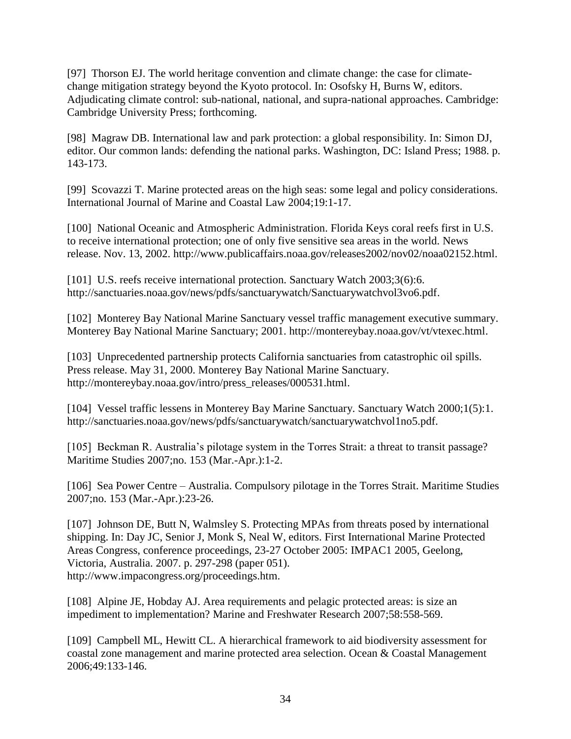[97] Thorson EJ. The world heritage convention and climate change: the case for climatechange mitigation strategy beyond the Kyoto protocol. In: Osofsky H, Burns W, editors. Adjudicating climate control: sub-national, national, and supra-national approaches. Cambridge: Cambridge University Press; forthcoming.

[98] Magraw DB. International law and park protection: a global responsibility. In: Simon DJ, editor. Our common lands: defending the national parks. Washington, DC: Island Press; 1988. p. 143-173.

[99] Scovazzi T. Marine protected areas on the high seas: some legal and policy considerations. International Journal of Marine and Coastal Law 2004;19:1-17.

[100] National Oceanic and Atmospheric Administration. Florida Keys coral reefs first in U.S. to receive international protection; one of only five sensitive sea areas in the world. News release. Nov. 13, 2002. http://www.publicaffairs.noaa.gov/releases2002/nov02/noaa02152.html.

[101] U.S. reefs receive international protection. Sanctuary Watch 2003;3(6):6. http://sanctuaries.noaa.gov/news/pdfs/sanctuarywatch/Sanctuarywatchvol3vo6.pdf.

[102] Monterey Bay National Marine Sanctuary vessel traffic management executive summary. Monterey Bay National Marine Sanctuary; 2001. http://montereybay.noaa.gov/vt/vtexec.html.

[103] Unprecedented partnership protects California sanctuaries from catastrophic oil spills. Press release. May 31, 2000. Monterey Bay National Marine Sanctuary. http://montereybay.noaa.gov/intro/press\_releases/000531.html.

[104] Vessel traffic lessens in Monterey Bay Marine Sanctuary. Sanctuary Watch 2000;1(5):1. http://sanctuaries.noaa.gov/news/pdfs/sanctuarywatch/sanctuarywatchvol1no5.pdf.

[105] Beckman R. Australia's pilotage system in the Torres Strait: a threat to transit passage? Maritime Studies 2007;no. 153 (Mar.-Apr.):1-2.

[106] Sea Power Centre – Australia. Compulsory pilotage in the Torres Strait. Maritime Studies 2007;no. 153 (Mar.-Apr.):23-26.

[107] Johnson DE, Butt N, Walmsley S. Protecting MPAs from threats posed by international shipping. In: Day JC, Senior J, Monk S, Neal W, editors. First International Marine Protected Areas Congress, conference proceedings, 23-27 October 2005: IMPAC1 2005, Geelong, Victoria, Australia. 2007. p. 297-298 (paper 051). http://www.impacongress.org/proceedings.htm.

[108] Alpine JE, Hobday AJ. Area requirements and pelagic protected areas: is size an impediment to implementation? Marine and Freshwater Research 2007;58:558-569.

[109] Campbell ML, Hewitt CL. A hierarchical framework to aid biodiversity assessment for coastal zone management and marine protected area selection. Ocean & Coastal Management 2006;49:133-146.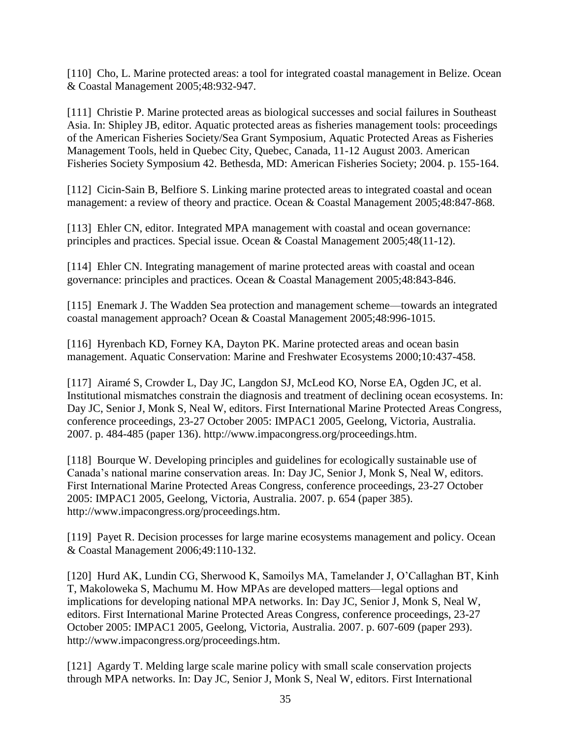[110] Cho, L. Marine protected areas: a tool for integrated coastal management in Belize. Ocean & Coastal Management 2005;48:932-947.

[111] Christie P. Marine protected areas as biological successes and social failures in Southeast Asia. In: Shipley JB, editor. Aquatic protected areas as fisheries management tools: proceedings of the American Fisheries Society/Sea Grant Symposium, Aquatic Protected Areas as Fisheries Management Tools, held in Quebec City, Quebec, Canada, 11-12 August 2003. American Fisheries Society Symposium 42. Bethesda, MD: American Fisheries Society; 2004. p. 155-164.

[112] Cicin-Sain B, Belfiore S. Linking marine protected areas to integrated coastal and ocean management: a review of theory and practice. Ocean & Coastal Management 2005;48:847-868.

[113] Ehler CN, editor. Integrated MPA management with coastal and ocean governance: principles and practices. Special issue. Ocean & Coastal Management 2005;48(11-12).

[114] Ehler CN. Integrating management of marine protected areas with coastal and ocean governance: principles and practices. Ocean & Coastal Management 2005;48:843-846.

[115] Enemark J. The Wadden Sea protection and management scheme—towards an integrated coastal management approach? Ocean & Coastal Management 2005;48:996-1015.

[116] Hyrenbach KD, Forney KA, Dayton PK. Marine protected areas and ocean basin management. Aquatic Conservation: Marine and Freshwater Ecosystems 2000;10:437-458.

[117] Airamé S, Crowder L, Day JC, Langdon SJ, McLeod KO, Norse EA, Ogden JC, et al. Institutional mismatches constrain the diagnosis and treatment of declining ocean ecosystems. In: Day JC, Senior J, Monk S, Neal W, editors. First International Marine Protected Areas Congress, conference proceedings, 23-27 October 2005: IMPAC1 2005, Geelong, Victoria, Australia. 2007. p. 484-485 (paper 136). http://www.impacongress.org/proceedings.htm.

[118] Bourque W. Developing principles and guidelines for ecologically sustainable use of Canada's national marine conservation areas. In: Day JC, Senior J, Monk S, Neal W, editors. First International Marine Protected Areas Congress, conference proceedings, 23-27 October 2005: IMPAC1 2005, Geelong, Victoria, Australia. 2007. p. 654 (paper 385). http://www.impacongress.org/proceedings.htm.

[119] Payet R. Decision processes for large marine ecosystems management and policy. Ocean & Coastal Management 2006;49:110-132.

[120] Hurd AK, Lundin CG, Sherwood K, Samoilys MA, Tamelander J, O'Callaghan BT, Kinh T, Makoloweka S, Machumu M. How MPAs are developed matters—legal options and implications for developing national MPA networks. In: Day JC, Senior J, Monk S, Neal W, editors. First International Marine Protected Areas Congress, conference proceedings, 23-27 October 2005: IMPAC1 2005, Geelong, Victoria, Australia. 2007. p. 607-609 (paper 293). http://www.impacongress.org/proceedings.htm.

[121] Agardy T. Melding large scale marine policy with small scale conservation projects through MPA networks. In: Day JC, Senior J, Monk S, Neal W, editors. First International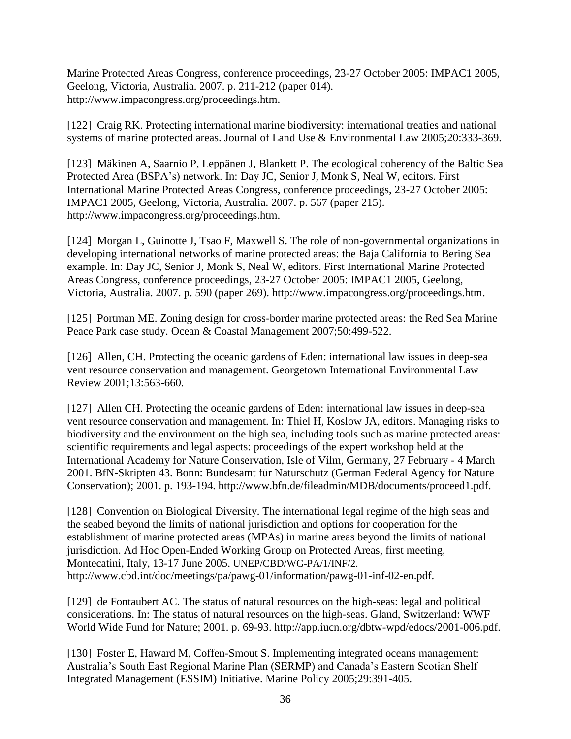Marine Protected Areas Congress, conference proceedings, 23-27 October 2005: IMPAC1 2005, Geelong, Victoria, Australia. 2007. p. 211-212 (paper 014). http://www.impacongress.org/proceedings.htm.

[122] Craig RK. Protecting international marine biodiversity: international treaties and national systems of marine protected areas. Journal of Land Use & Environmental Law 2005;20:333-369.

[123] Mäkinen A, Saarnio P, Leppänen J, Blankett P. The ecological coherency of the Baltic Sea Protected Area (BSPA's) network. In: Day JC, Senior J, Monk S, Neal W, editors. First International Marine Protected Areas Congress, conference proceedings, 23-27 October 2005: IMPAC1 2005, Geelong, Victoria, Australia. 2007. p. 567 (paper 215). http://www.impacongress.org/proceedings.htm.

[124] Morgan L, Guinotte J, Tsao F, Maxwell S. The role of non-governmental organizations in developing international networks of marine protected areas: the Baja California to Bering Sea example. In: Day JC, Senior J, Monk S, Neal W, editors. First International Marine Protected Areas Congress, conference proceedings, 23-27 October 2005: IMPAC1 2005, Geelong, Victoria, Australia. 2007. p. 590 (paper 269). http://www.impacongress.org/proceedings.htm.

[125] Portman ME. [Zoning design for cross-border marine protected areas: the Red Sea Marine](http://www.sciencedirect.com/science?_ob=GatewayURL&_method=citationSearch&_urlVersion=4&_origin=SDVIALERTHTML&_version=1&_uoikey=B6VG5-4N85B0W-1&md5=18339db1b91714829b6cb4cea970af42) [Peace Park case study.](http://www.sciencedirect.com/science?_ob=GatewayURL&_method=citationSearch&_urlVersion=4&_origin=SDVIALERTHTML&_version=1&_uoikey=B6VG5-4N85B0W-1&md5=18339db1b91714829b6cb4cea970af42) Ocean & Coastal Management 2007;50:499-522.

[126] Allen, CH. Protecting the oceanic gardens of Eden: international law issues in deep-sea vent resource conservation and management. Georgetown International Environmental Law Review 2001;13:563-660.

[127] Allen CH. Protecting the oceanic gardens of Eden: international law issues in deep-sea vent resource conservation and management. In: Thiel H, Koslow JA, editors. Managing risks to biodiversity and the environment on the high sea, including tools such as marine protected areas: scientific requirements and legal aspects: proceedings of the expert workshop held at the International Academy for Nature Conservation, Isle of Vilm, Germany, 27 February - 4 March 2001. BfN-Skripten 43. Bonn: Bundesamt für Naturschutz (German Federal Agency for Nature Conservation); 2001. p. 193-194. http://www.bfn.de/fileadmin/MDB/documents/proceed1.pdf.

[128] Convention on Biological Diversity. The international legal regime of the high seas and the seabed beyond the limits of national jurisdiction and options for cooperation for the establishment of marine protected areas (MPAs) in marine areas beyond the limits of national jurisdiction. Ad Hoc Open-Ended Working Group on Protected Areas, first meeting, Montecatini, Italy, 13-17 June 2005. UNEP/CBD/WG-PA/1/INF/2. http://www.cbd.int/doc/meetings/pa/pawg-01/information/pawg-01-inf-02-en.pdf.

[129] de Fontaubert AC. The status of natural resources on the high-seas: legal and political considerations. In: The status of natural resources on the high-seas. Gland, Switzerland: WWF— World Wide Fund for Nature; 2001. p. 69-93. http://app.iucn.org/dbtw-wpd/edocs/2001-006.pdf.

[130] Foster E, Haward M, Coffen-Smout S. Implementing integrated oceans management: Australia's South East Regional Marine Plan (SERMP) and Canada's Eastern Scotian Shelf Integrated Management (ESSIM) Initiative. Marine Policy 2005;29:391-405.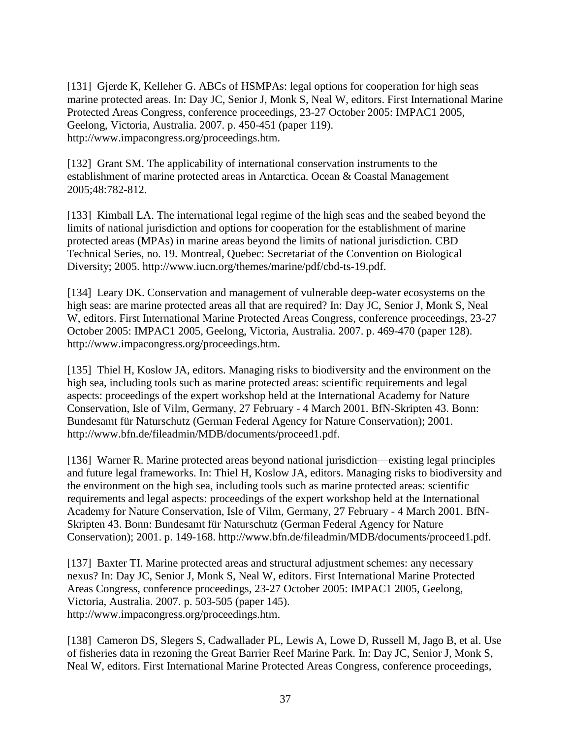[131] Gjerde K, Kelleher G. ABCs of HSMPAs: legal options for cooperation for high seas marine protected areas. In: Day JC, Senior J, Monk S, Neal W, editors. First International Marine Protected Areas Congress, conference proceedings, 23-27 October 2005: IMPAC1 2005, Geelong, Victoria, Australia. 2007. p. 450-451 (paper 119). http://www.impacongress.org/proceedings.htm.

[132] Grant SM. The applicability of international conservation instruments to the establishment of marine protected areas in Antarctica. Ocean & Coastal Management 2005;48:782-812.

[133] Kimball LA. The international legal regime of the high seas and the seabed beyond the limits of national jurisdiction and options for cooperation for the establishment of marine protected areas (MPAs) in marine areas beyond the limits of national jurisdiction. CBD Technical Series, no. 19. Montreal, Quebec: Secretariat of the Convention on Biological Diversity; 2005. http://www.iucn.org/themes/marine/pdf/cbd-ts-19.pdf.

[134] Leary DK. Conservation and management of vulnerable deep-water ecosystems on the high seas: are marine protected areas all that are required? In: Day JC, Senior J, Monk S, Neal W, editors. First International Marine Protected Areas Congress, conference proceedings, 23-27 October 2005: IMPAC1 2005, Geelong, Victoria, Australia. 2007. p. 469-470 (paper 128). http://www.impacongress.org/proceedings.htm.

[135] Thiel H, Koslow JA, editors. Managing risks to biodiversity and the environment on the high sea, including tools such as marine protected areas: scientific requirements and legal aspects: proceedings of the expert workshop held at the International Academy for Nature Conservation, Isle of Vilm, Germany, 27 February - 4 March 2001. BfN-Skripten 43. Bonn: Bundesamt für Naturschutz (German Federal Agency for Nature Conservation); 2001. http://www.bfn.de/fileadmin/MDB/documents/proceed1.pdf.

[136] Warner R. Marine protected areas beyond national jurisdiction—existing legal principles and future legal frameworks. In: Thiel H, Koslow JA, editors. Managing risks to biodiversity and the environment on the high sea, including tools such as marine protected areas: scientific requirements and legal aspects: proceedings of the expert workshop held at the International Academy for Nature Conservation, Isle of Vilm, Germany, 27 February - 4 March 2001. BfN-Skripten 43. Bonn: Bundesamt für Naturschutz (German Federal Agency for Nature Conservation); 2001. p. 149-168. http://www.bfn.de/fileadmin/MDB/documents/proceed1.pdf.

[137] Baxter TI. Marine protected areas and structural adjustment schemes: any necessary nexus? In: Day JC, Senior J, Monk S, Neal W, editors. First International Marine Protected Areas Congress, conference proceedings, 23-27 October 2005: IMPAC1 2005, Geelong, Victoria, Australia. 2007. p. 503-505 (paper 145). http://www.impacongress.org/proceedings.htm.

[138] Cameron DS, Slegers S, Cadwallader PL, Lewis A, Lowe D, Russell M, Jago B, et al. Use of fisheries data in rezoning the Great Barrier Reef Marine Park. In: Day JC, Senior J, Monk S, Neal W, editors. First International Marine Protected Areas Congress, conference proceedings,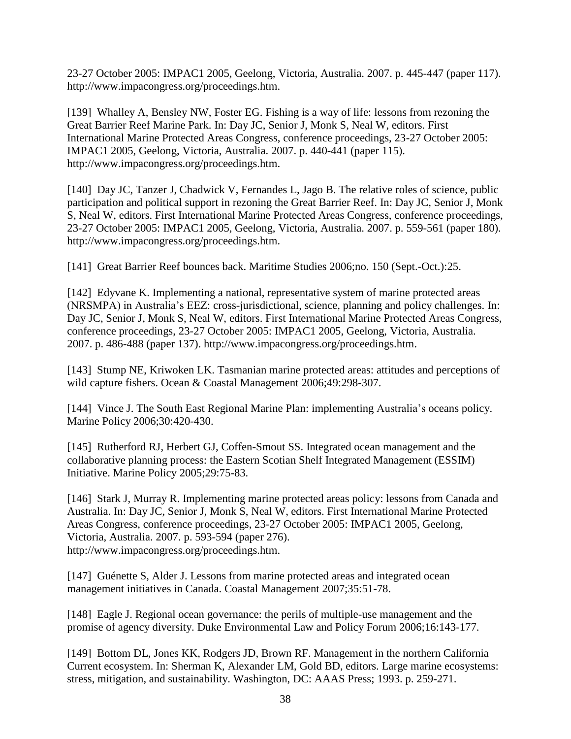23-27 October 2005: IMPAC1 2005, Geelong, Victoria, Australia. 2007. p. 445-447 (paper 117). http://www.impacongress.org/proceedings.htm.

[139] Whalley A, Bensley NW, Foster EG. Fishing is a way of life: lessons from rezoning the Great Barrier Reef Marine Park. In: Day JC, Senior J, Monk S, Neal W, editors. First International Marine Protected Areas Congress, conference proceedings, 23-27 October 2005: IMPAC1 2005, Geelong, Victoria, Australia. 2007. p. 440-441 (paper 115). http://www.impacongress.org/proceedings.htm.

[140] Day JC, Tanzer J, Chadwick V, Fernandes L, Jago B. The relative roles of science, public participation and political support in rezoning the Great Barrier Reef. In: Day JC, Senior J, Monk S, Neal W, editors. First International Marine Protected Areas Congress, conference proceedings, 23-27 October 2005: IMPAC1 2005, Geelong, Victoria, Australia. 2007. p. 559-561 (paper 180). http://www.impacongress.org/proceedings.htm.

[141] Great Barrier Reef bounces back. Maritime Studies 2006;no. 150 (Sept.-Oct.):25.

[142] Edyvane K. Implementing a national, representative system of marine protected areas (NRSMPA) in Australia's EEZ: cross-jurisdictional, science, planning and policy challenges. In: Day JC, Senior J, Monk S, Neal W, editors. First International Marine Protected Areas Congress, conference proceedings, 23-27 October 2005: IMPAC1 2005, Geelong, Victoria, Australia. 2007. p. 486-488 (paper 137). http://www.impacongress.org/proceedings.htm.

[143] Stump NE, Kriwoken LK. Tasmanian marine protected areas: attitudes and perceptions of wild capture fishers. Ocean & Coastal Management 2006;49:298-307.

[144] Vince J. The South East Regional Marine Plan: implementing Australia's oceans policy. Marine Policy 2006;30:420-430.

[145] Rutherford RJ, Herbert GJ, Coffen-Smout SS. Integrated ocean management and the collaborative planning process: the Eastern Scotian Shelf Integrated Management (ESSIM) Initiative. Marine Policy 2005;29:75-83.

[146] Stark J, Murray R. Implementing marine protected areas policy: lessons from Canada and Australia. In: Day JC, Senior J, Monk S, Neal W, editors. First International Marine Protected Areas Congress, conference proceedings, 23-27 October 2005: IMPAC1 2005, Geelong, Victoria, Australia. 2007. p. 593-594 (paper 276). http://www.impacongress.org/proceedings.htm.

[147] Guénette S, Alder J. Lessons from marine protected areas and integrated ocean management initiatives in Canada. Coastal Management 2007;35:51-78.

[148] Eagle J. Regional ocean governance: the perils of multiple-use management and the promise of agency diversity. Duke Environmental Law and Policy Forum 2006;16:143-177.

[149] Bottom DL, Jones KK, Rodgers JD, Brown RF. Management in the northern California Current ecosystem. In: Sherman K, Alexander LM, Gold BD, editors. Large marine ecosystems: stress, mitigation, and sustainability. Washington, DC: AAAS Press; 1993. p. 259-271.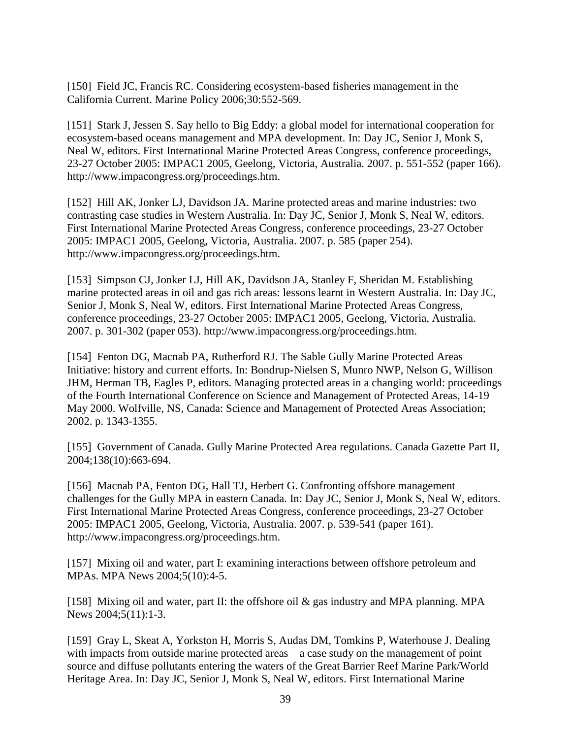[150] Field JC, Francis RC. Considering ecosystem-based fisheries management in the California Current. Marine Policy 2006;30:552-569.

[151] Stark J, Jessen S. Say hello to Big Eddy: a global model for international cooperation for ecosystem-based oceans management and MPA development. In: Day JC, Senior J, Monk S, Neal W, editors. First International Marine Protected Areas Congress, conference proceedings, 23-27 October 2005: IMPAC1 2005, Geelong, Victoria, Australia. 2007. p. 551-552 (paper 166). http://www.impacongress.org/proceedings.htm.

[152] Hill AK, Jonker LJ, Davidson JA. Marine protected areas and marine industries: two contrasting case studies in Western Australia. In: Day JC, Senior J, Monk S, Neal W, editors. First International Marine Protected Areas Congress, conference proceedings, 23-27 October 2005: IMPAC1 2005, Geelong, Victoria, Australia. 2007. p. 585 (paper 254). http://www.impacongress.org/proceedings.htm.

[153] Simpson CJ, Jonker LJ, Hill AK, Davidson JA, Stanley F, Sheridan M. Establishing marine protected areas in oil and gas rich areas: lessons learnt in Western Australia. In: Day JC, Senior J, Monk S, Neal W, editors. First International Marine Protected Areas Congress, conference proceedings, 23-27 October 2005: IMPAC1 2005, Geelong, Victoria, Australia. 2007. p. 301-302 (paper 053). http://www.impacongress.org/proceedings.htm.

[154] Fenton DG, Macnab PA, Rutherford RJ. The Sable Gully Marine Protected Areas Initiative: history and current efforts. In: Bondrup-Nielsen S, Munro NWP, Nelson G, Willison JHM, Herman TB, Eagles P, editors. Managing protected areas in a changing world: proceedings of the Fourth International Conference on Science and Management of Protected Areas, 14-19 May 2000. Wolfville, NS, Canada: Science and Management of Protected Areas Association; 2002. p. 1343-1355.

[155] Government of Canada. Gully Marine Protected Area regulations. Canada Gazette Part II, 2004;138(10):663-694.

[156] Macnab PA, Fenton DG, Hall TJ, Herbert G. Confronting offshore management challenges for the Gully MPA in eastern Canada. In: Day JC, Senior J, Monk S, Neal W, editors. First International Marine Protected Areas Congress, conference proceedings, 23-27 October 2005: IMPAC1 2005, Geelong, Victoria, Australia. 2007. p. 539-541 (paper 161). http://www.impacongress.org/proceedings.htm.

[157] Mixing oil and water, part I: examining interactions between offshore petroleum and MPAs. MPA News 2004;5(10):4-5.

[158] Mixing oil and water, part II: the offshore oil & gas industry and MPA planning. MPA News 2004;5(11):1-3.

[159] Gray L, Skeat A, Yorkston H, Morris S, Audas DM, Tomkins P, Waterhouse J. Dealing with impacts from outside marine protected areas—a case study on the management of point source and diffuse pollutants entering the waters of the Great Barrier Reef Marine Park/World Heritage Area. In: Day JC, Senior J, Monk S, Neal W, editors. First International Marine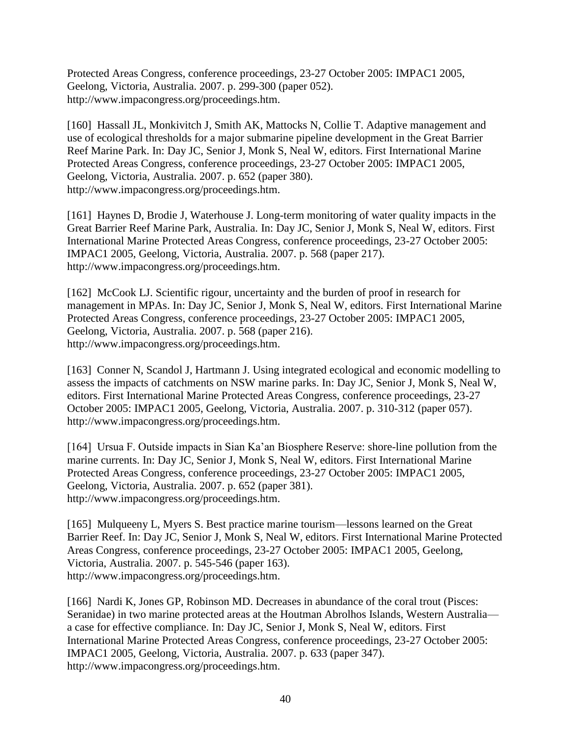Protected Areas Congress, conference proceedings, 23-27 October 2005: IMPAC1 2005, Geelong, Victoria, Australia. 2007. p. 299-300 (paper 052). http://www.impacongress.org/proceedings.htm.

[160] Hassall JL, Monkivitch J, Smith AK, Mattocks N, Collie T. Adaptive management and use of ecological thresholds for a major submarine pipeline development in the Great Barrier Reef Marine Park. In: Day JC, Senior J, Monk S, Neal W, editors. First International Marine Protected Areas Congress, conference proceedings, 23-27 October 2005: IMPAC1 2005, Geelong, Victoria, Australia. 2007. p. 652 (paper 380). http://www.impacongress.org/proceedings.htm.

[161] Haynes D, Brodie J, Waterhouse J. Long-term monitoring of water quality impacts in the Great Barrier Reef Marine Park, Australia. In: Day JC, Senior J, Monk S, Neal W, editors. First International Marine Protected Areas Congress, conference proceedings, 23-27 October 2005: IMPAC1 2005, Geelong, Victoria, Australia. 2007. p. 568 (paper 217). http://www.impacongress.org/proceedings.htm.

[162] McCook LJ. Scientific rigour, uncertainty and the burden of proof in research for management in MPAs. In: Day JC, Senior J, Monk S, Neal W, editors. First International Marine Protected Areas Congress, conference proceedings, 23-27 October 2005: IMPAC1 2005, Geelong, Victoria, Australia. 2007. p. 568 (paper 216). http://www.impacongress.org/proceedings.htm.

[163] Conner N, Scandol J, Hartmann J. Using integrated ecological and economic modelling to assess the impacts of catchments on NSW marine parks. In: Day JC, Senior J, Monk S, Neal W, editors. First International Marine Protected Areas Congress, conference proceedings, 23-27 October 2005: IMPAC1 2005, Geelong, Victoria, Australia. 2007. p. 310-312 (paper 057). http://www.impacongress.org/proceedings.htm.

[164] Ursua F. Outside impacts in Sian Ka'an Biosphere Reserve: shore-line pollution from the marine currents. In: Day JC, Senior J, Monk S, Neal W, editors. First International Marine Protected Areas Congress, conference proceedings, 23-27 October 2005: IMPAC1 2005, Geelong, Victoria, Australia. 2007. p. 652 (paper 381). http://www.impacongress.org/proceedings.htm.

[165] Mulqueeny L, Myers S. Best practice marine tourism—lessons learned on the Great Barrier Reef. In: Day JC, Senior J, Monk S, Neal W, editors. First International Marine Protected Areas Congress, conference proceedings, 23-27 October 2005: IMPAC1 2005, Geelong, Victoria, Australia. 2007. p. 545-546 (paper 163). http://www.impacongress.org/proceedings.htm.

[166] Nardi K, Jones GP, Robinson MD. Decreases in abundance of the coral trout (Pisces: Seranidae) in two marine protected areas at the Houtman Abrolhos Islands, Western Australia a case for effective compliance. In: Day JC, Senior J, Monk S, Neal W, editors. First International Marine Protected Areas Congress, conference proceedings, 23-27 October 2005: IMPAC1 2005, Geelong, Victoria, Australia. 2007. p. 633 (paper 347). http://www.impacongress.org/proceedings.htm.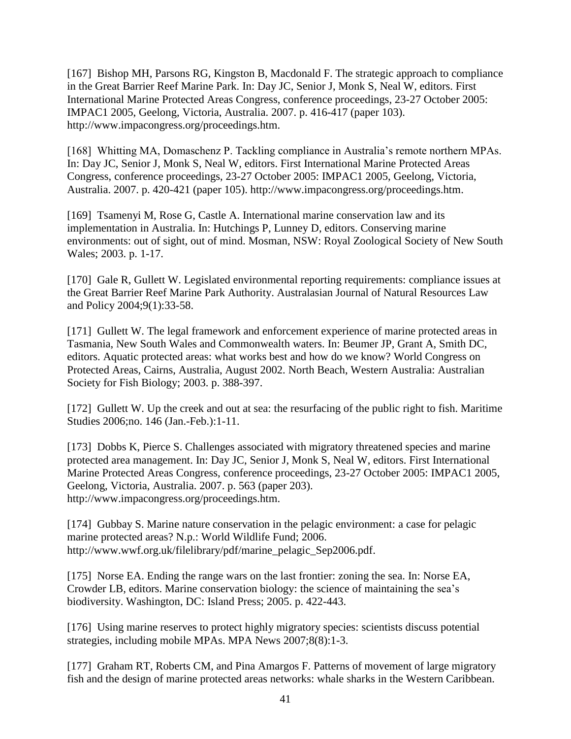[167] Bishop MH, Parsons RG, Kingston B, Macdonald F. The strategic approach to compliance in the Great Barrier Reef Marine Park. In: Day JC, Senior J, Monk S, Neal W, editors. First International Marine Protected Areas Congress, conference proceedings, 23-27 October 2005: IMPAC1 2005, Geelong, Victoria, Australia. 2007. p. 416-417 (paper 103). http://www.impacongress.org/proceedings.htm.

[168] Whitting MA, Domaschenz P. Tackling compliance in Australia's remote northern MPAs. In: Day JC, Senior J, Monk S, Neal W, editors. First International Marine Protected Areas Congress, conference proceedings, 23-27 October 2005: IMPAC1 2005, Geelong, Victoria, Australia. 2007. p. 420-421 (paper 105). http://www.impacongress.org/proceedings.htm.

[169] Tsamenyi M, Rose G, Castle A. International marine conservation law and its implementation in Australia. In: Hutchings P, Lunney D, editors. Conserving marine environments: out of sight, out of mind. Mosman, NSW: Royal Zoological Society of New South Wales; 2003. p. 1-17.

[170] Gale R, Gullett W. Legislated environmental reporting requirements: compliance issues at the Great Barrier Reef Marine Park Authority. Australasian Journal of Natural Resources Law and Policy 2004;9(1):33-58.

[171] Gullett W. The legal framework and enforcement experience of marine protected areas in Tasmania, New South Wales and Commonwealth waters. In: Beumer JP, Grant A, Smith DC, editors. Aquatic protected areas: what works best and how do we know? World Congress on Protected Areas, Cairns, Australia, August 2002. North Beach, Western Australia: Australian Society for Fish Biology; 2003. p. 388-397.

[172] Gullett W. Up the creek and out at sea: the resurfacing of the public right to fish. Maritime Studies 2006;no. 146 (Jan.-Feb.):1-11.

[173] Dobbs K, Pierce S. Challenges associated with migratory threatened species and marine protected area management. In: Day JC, Senior J, Monk S, Neal W, editors. First International Marine Protected Areas Congress, conference proceedings, 23-27 October 2005: IMPAC1 2005, Geelong, Victoria, Australia. 2007. p. 563 (paper 203). http://www.impacongress.org/proceedings.htm.

[174] Gubbay S. Marine nature conservation in the pelagic environment: a case for pelagic marine protected areas? N.p.: World Wildlife Fund; 2006. http://www.wwf.org.uk/filelibrary/pdf/marine\_pelagic\_Sep2006.pdf.

[175] Norse EA. Ending the range wars on the last frontier: zoning the sea. In: Norse EA, Crowder LB, editors. Marine conservation biology: the science of maintaining the sea's biodiversity. Washington, DC: Island Press; 2005. p. 422-443.

[176] Using marine reserves to protect highly migratory species: scientists discuss potential strategies, including mobile MPAs. MPA News 2007;8(8):1-3.

[177] Graham RT, Roberts CM, and Pina Amargos F. Patterns of movement of large migratory fish and the design of marine protected areas networks: whale sharks in the Western Caribbean.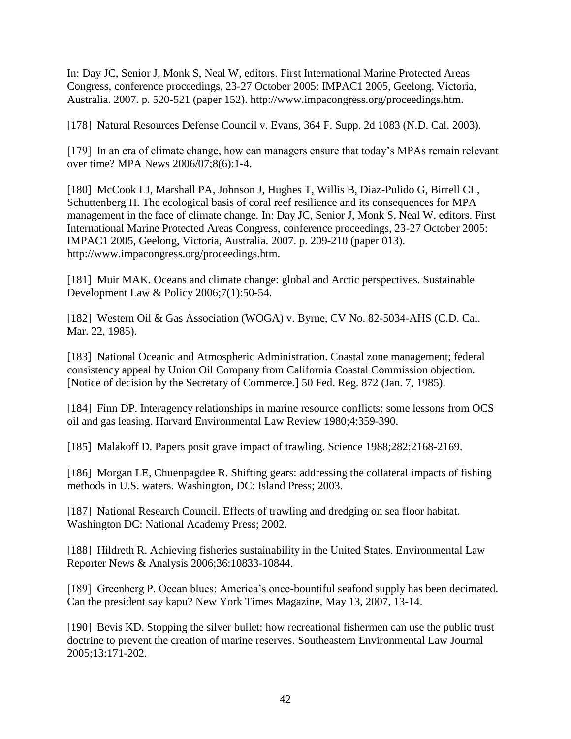In: Day JC, Senior J, Monk S, Neal W, editors. First International Marine Protected Areas Congress, conference proceedings, 23-27 October 2005: IMPAC1 2005, Geelong, Victoria, Australia. 2007. p. 520-521 (paper 152). http://www.impacongress.org/proceedings.htm.

[178] Natural Resources Defense Council v. Evans, 364 F. Supp. 2d 1083 (N.D. Cal. 2003).

[179] In an era of climate change, how can managers ensure that today's MPAs remain relevant over time? MPA News 2006/07;8(6):1-4.

[180] McCook LJ, Marshall PA, Johnson J, Hughes T, Willis B, Diaz-Pulido G, Birrell CL, Schuttenberg H. The ecological basis of coral reef resilience and its consequences for MPA management in the face of climate change. In: Day JC, Senior J, Monk S, Neal W, editors. First International Marine Protected Areas Congress, conference proceedings, 23-27 October 2005: IMPAC1 2005, Geelong, Victoria, Australia. 2007. p. 209-210 (paper 013). http://www.impacongress.org/proceedings.htm.

[181] Muir MAK. Oceans and climate change: global and Arctic perspectives. Sustainable Development Law & Policy 2006;7(1):50-54.

[182] Western Oil & Gas Association (WOGA) v. Byrne, CV No. 82-5034-AHS (C.D. Cal. Mar. 22, 1985).

[183] National Oceanic and Atmospheric Administration. Coastal zone management; federal consistency appeal by Union Oil Company from California Coastal Commission objection. [Notice of decision by the Secretary of Commerce.] 50 Fed. Reg. 872 (Jan. 7, 1985).

[184] Finn DP. Interagency relationships in marine resource conflicts: some lessons from OCS oil and gas leasing. Harvard Environmental Law Review 1980;4:359-390.

[185] Malakoff D. Papers posit grave impact of trawling. Science 1988;282:2168-2169.

[186] Morgan LE, Chuenpagdee R. Shifting gears: addressing the collateral impacts of fishing methods in U.S. waters. Washington, DC: Island Press; 2003.

[187] National Research Council. Effects of trawling and dredging on sea floor habitat. Washington DC: National Academy Press; 2002.

[188] Hildreth R. Achieving fisheries sustainability in the United States. Environmental Law Reporter News & Analysis 2006;36:10833-10844.

[189] Greenberg P. Ocean blues: America's once-bountiful seafood supply has been decimated. Can the president say kapu? New York Times Magazine, May 13, 2007, 13-14.

[190] Bevis KD. Stopping the silver bullet: how recreational fishermen can use the public trust doctrine to prevent the creation of marine reserves. Southeastern Environmental Law Journal 2005;13:171-202.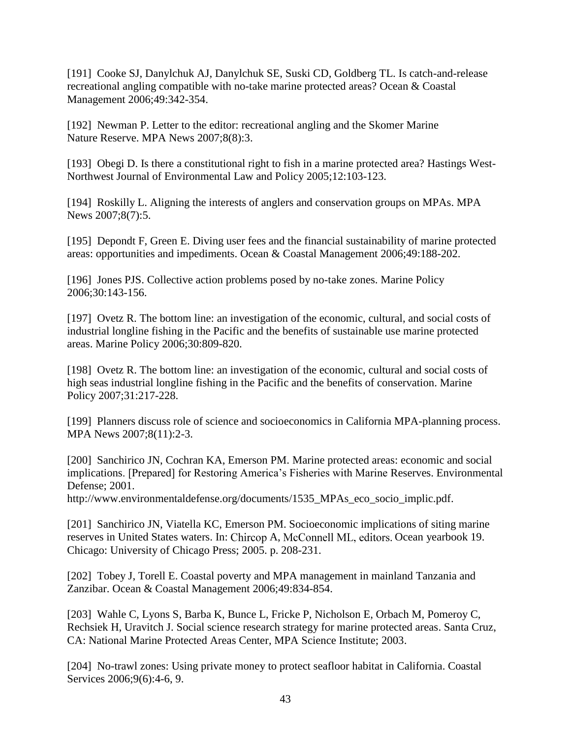[191] Cooke SJ, Danylchuk AJ, Danylchuk SE, Suski CD, Goldberg TL. Is catch-and-release recreational angling compatible with no-take marine protected areas? Ocean & Coastal Management 2006;49:342-354.

[192] Newman P. Letter to the editor: recreational angling and the Skomer Marine Nature Reserve. MPA News 2007;8(8):3.

[193] Obegi D. Is there a constitutional right to fish in a marine protected area? Hastings West-Northwest Journal of Environmental Law and Policy 2005;12:103-123.

[194] Roskilly L. Aligning the interests of anglers and conservation groups on MPAs. MPA News 2007;8(7):5.

[195] Depondt F, Green E. Diving user fees and the financial sustainability of marine protected areas: opportunities and impediments. Ocean & Coastal Management 2006;49:188-202.

[196] Jones PJS. Collective action problems posed by no-take zones. Marine Policy 2006;30:143-156.

[197] Ovetz R. The bottom line: an investigation of the economic, cultural, and social costs of industrial longline fishing in the Pacific and the benefits of sustainable use marine protected areas. Marine Policy 2006;30:809-820.

[198] Ovetz R. The bottom line: an investigation of the economic, cultural and social costs of high seas industrial longline fishing in the Pacific and the benefits of conservation. Marine Policy 2007;31:217-228.

[199] Planners discuss role of science and socioeconomics in California MPA-planning process. MPA News 2007;8(11):2-3.

[200] Sanchirico JN, Cochran KA, Emerson PM. Marine protected areas: economic and social implications. [Prepared] for Restoring America's Fisheries with Marine Reserves. Environmental Defense; 2001.

http://www.environmentaldefense.org/documents/1535\_MPAs\_eco\_socio\_implic.pdf.

[201] Sanchirico JN, Viatella KC, Emerson PM. Socioeconomic implications of siting marine reserves in United States waters. In: Chircop A, McConnell ML, editors. Ocean yearbook 19. Chicago: University of Chicago Press; 2005. p. 208-231.

[202] Tobey J, Torell E. Coastal poverty and MPA management in mainland Tanzania and Zanzibar. Ocean & Coastal Management 2006;49:834-854.

[203] Wahle C, Lyons S, Barba K, Bunce L, Fricke P, Nicholson E, Orbach M, Pomeroy C, Rechsiek H, Uravitch J. Social science research strategy for marine protected areas. Santa Cruz, CA: National Marine Protected Areas Center, MPA Science Institute; 2003.

[204] No-trawl zones: Using private money to protect seafloor habitat in California. Coastal Services 2006;9(6):4-6, 9.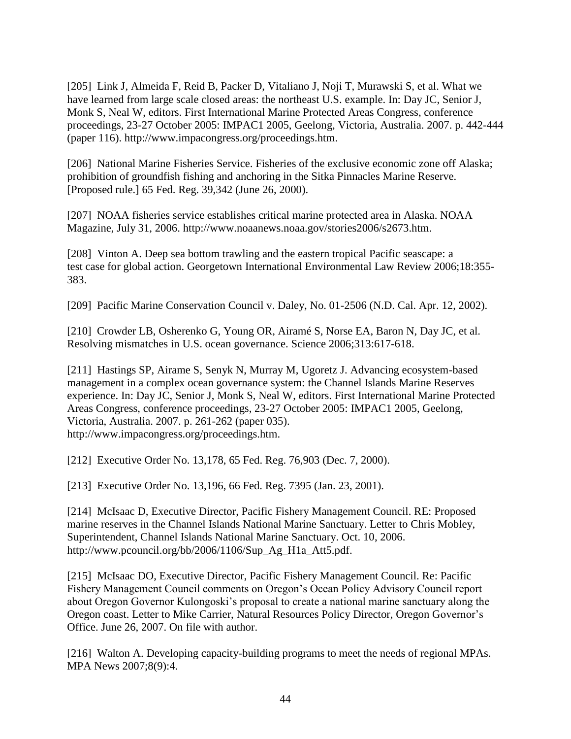[205] Link J, Almeida F, Reid B, Packer D, Vitaliano J, Noji T, Murawski S, et al. What we have learned from large scale closed areas: the northeast U.S. example. In: Day JC, Senior J, Monk S, Neal W, editors. First International Marine Protected Areas Congress, conference proceedings, 23-27 October 2005: IMPAC1 2005, Geelong, Victoria, Australia. 2007. p. 442-444 (paper 116). http://www.impacongress.org/proceedings.htm.

[206] National Marine Fisheries Service. Fisheries of the exclusive economic zone off Alaska; prohibition of groundfish fishing and anchoring in the Sitka Pinnacles Marine Reserve. [Proposed rule.] 65 Fed. Reg. 39,342 (June 26, 2000).

[207] NOAA fisheries service establishes critical marine protected area in Alaska. NOAA Magazine, July 31, 2006. http://www.noaanews.noaa.gov/stories2006/s2673.htm.

[208] Vinton A. Deep sea bottom trawling and the eastern tropical Pacific seascape: a test case for global action. Georgetown International Environmental Law Review 2006;18:355- 383.

[209] Pacific Marine Conservation Council v. Daley, No. 01-2506 (N.D. Cal. Apr. 12, 2002).

[210] Crowder LB, Osherenko G, Young OR, Airamé S, Norse EA, Baron N, Day JC, et al. Resolving mismatches in U.S. ocean governance. Science 2006;313:617-618.

[211] Hastings SP, Airame S, Senyk N, Murray M, Ugoretz J. Advancing ecosystem-based management in a complex ocean governance system: the Channel Islands Marine Reserves experience. In: Day JC, Senior J, Monk S, Neal W, editors. First International Marine Protected Areas Congress, conference proceedings, 23-27 October 2005: IMPAC1 2005, Geelong, Victoria, Australia. 2007. p. 261-262 (paper 035). http://www.impacongress.org/proceedings.htm.

[212] Executive Order No. 13,178, 65 Fed. Reg. 76,903 (Dec. 7, 2000).

[213] Executive Order No. 13,196, 66 Fed. Reg. 7395 (Jan. 23, 2001).

[214] McIsaac D, Executive Director, Pacific Fishery Management Council. RE: Proposed marine reserves in the Channel Islands National Marine Sanctuary. Letter to Chris Mobley, Superintendent, Channel Islands National Marine Sanctuary. Oct. 10, 2006. http://www.pcouncil.org/bb/2006/1106/Sup Ag H1a Att5.pdf.

[215] McIsaac DO, Executive Director, Pacific Fishery Management Council. Re: Pacific Fishery Management Council comments on Oregon's Ocean Policy Advisory Council report about Oregon Governor Kulongoski's proposal to create a national marine sanctuary along the Oregon coast. Letter to Mike Carrier, Natural Resources Policy Director, Oregon Governor's Office. June 26, 2007. On file with author.

[216] Walton A. Developing capacity-building programs to meet the needs of regional MPAs. MPA News 2007;8(9):4.